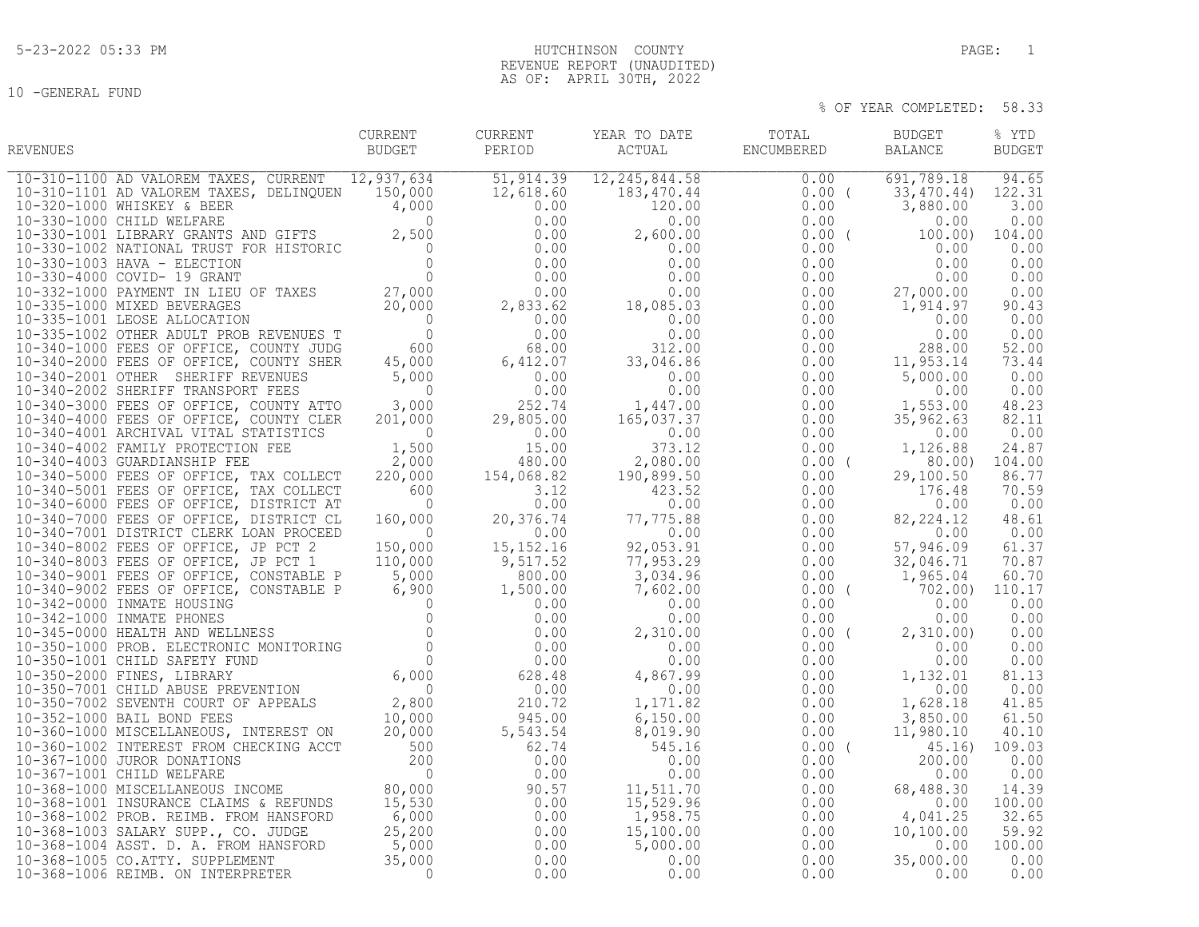10 -GENERAL FUND

## 5-23-2022 05:33 PM PAGE: 1 REVENUE REPORT (UNAUDITED) AS OF: APRIL 30TH, 2022

| REVENUES | CURRENT<br>BUDGET | PERIOD | CURRENT YEAR TO DATE | TOTAL BUDGET<br>${\tt ACTUAL} \hspace{2.3cm} {\tt ENCUMBERED} \hspace{2.3cm} {\tt BALANCE}$ | % YTD<br><b>BUDGET</b> |
|----------|-------------------|--------|----------------------|---------------------------------------------------------------------------------------------|------------------------|
|          |                   |        |                      |                                                                                             |                        |
|          |                   |        |                      |                                                                                             |                        |
|          |                   |        |                      |                                                                                             |                        |
|          |                   |        |                      |                                                                                             |                        |
|          |                   |        |                      |                                                                                             |                        |
|          |                   |        |                      |                                                                                             |                        |
|          |                   |        |                      |                                                                                             |                        |
|          |                   |        |                      |                                                                                             |                        |
|          |                   |        |                      |                                                                                             |                        |
|          |                   |        |                      |                                                                                             |                        |
|          |                   |        |                      |                                                                                             |                        |
|          |                   |        |                      |                                                                                             |                        |
|          |                   |        |                      |                                                                                             |                        |
|          |                   |        |                      |                                                                                             |                        |
|          |                   |        |                      |                                                                                             |                        |
|          |                   |        |                      |                                                                                             |                        |
|          |                   |        |                      |                                                                                             |                        |
|          |                   |        |                      |                                                                                             |                        |
|          |                   |        |                      |                                                                                             |                        |
|          |                   |        |                      |                                                                                             |                        |
|          |                   |        |                      |                                                                                             |                        |
|          |                   |        |                      |                                                                                             |                        |
|          |                   |        |                      |                                                                                             |                        |
|          |                   |        |                      |                                                                                             |                        |
|          |                   |        |                      |                                                                                             |                        |
|          |                   |        |                      |                                                                                             |                        |
|          |                   |        |                      |                                                                                             |                        |
|          |                   |        |                      |                                                                                             |                        |
|          |                   |        |                      |                                                                                             |                        |
|          |                   |        |                      |                                                                                             |                        |
|          |                   |        |                      |                                                                                             |                        |
|          |                   |        |                      |                                                                                             |                        |
|          |                   |        |                      |                                                                                             |                        |
|          |                   |        |                      |                                                                                             |                        |
|          |                   |        |                      |                                                                                             |                        |
|          |                   |        |                      |                                                                                             |                        |
|          |                   |        |                      |                                                                                             |                        |
|          |                   |        |                      |                                                                                             |                        |
|          |                   |        |                      |                                                                                             |                        |
|          |                   |        |                      |                                                                                             |                        |
|          |                   |        |                      |                                                                                             |                        |
|          |                   |        |                      |                                                                                             |                        |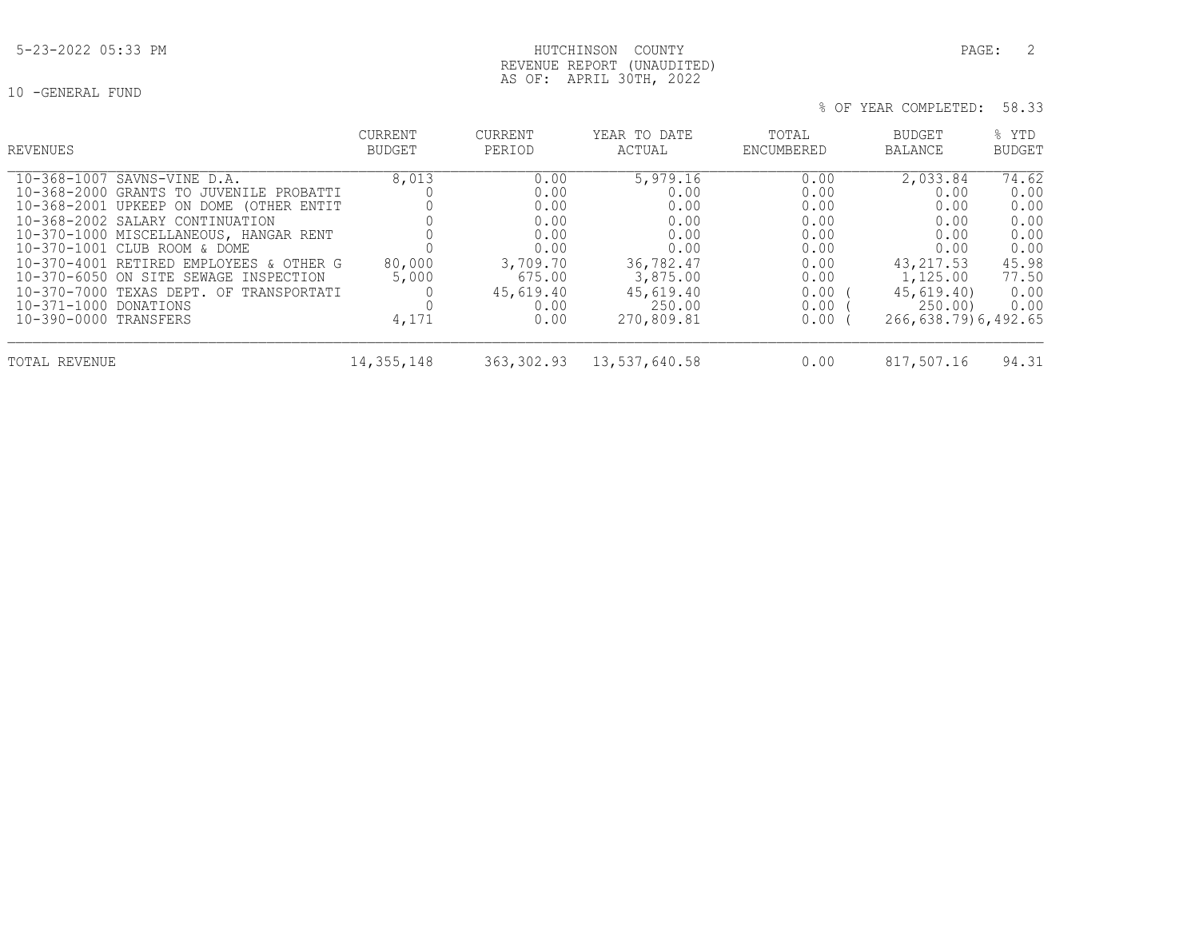10 -GENERAL FUND

# REVENUE REPORT (UNAUDITED) AS OF: APRIL 30TH, 2022

| REVENUES                                                                                                                                                   | <b>CURRENT</b><br>BUDGET | CURRENT<br>PERIOD                  | YEAR TO DATE<br>ACTUAL                | TOTAL<br>ENCUMBERED          | BUDGET<br><b>BALANCE</b>                     | % YTD<br><b>BUDGET</b>         |
|------------------------------------------------------------------------------------------------------------------------------------------------------------|--------------------------|------------------------------------|---------------------------------------|------------------------------|----------------------------------------------|--------------------------------|
| 10-368-1007 SAVNS-VINE D.A.<br>10-368-2000 GRANTS TO JUVENILE PROBATTI<br>10-368-2001 UPKEEP ON DOME (OTHER ENTIT<br>10-368-2002 SALARY CONTINUATION       | 8,013                    | 0.00<br>0.00<br>0.00<br>0.00       | 5,979.16<br>0.00<br>0.00<br>0.00      | 0.00<br>0.00<br>0.00<br>0.00 | 2,033.84<br>0.00<br>0.00<br>0.00             | 74.62<br>0.00<br>0.00<br>0.00  |
| 10-370-1000 MISCELLANEOUS, HANGAR RENT<br>10-370-1001 CLUB ROOM & DOME<br>10-370-4001 RETIRED EMPLOYEES & OTHER G<br>10-370-6050 ON SITE SEWAGE INSPECTION | 80,000<br>5,000          | 0.00<br>0.00<br>3,709.70<br>675.00 | 0.00<br>0.00<br>36,782.47<br>3,875.00 | 0.00<br>0.00<br>0.00<br>0.00 | 0.00<br>0.00<br>43, 217.53<br>1,125.00       | 0.00<br>0.00<br>45.98<br>77.50 |
| 10-370-7000 TEXAS DEPT. OF TRANSPORTATI<br>10-371-1000 DONATIONS<br>10-390-0000 TRANSFERS                                                                  | 4,171                    | 45,619.40<br>0.00<br>0.00          | 45,619.40<br>250.00<br>270,809.81     | 0.00<br>0.00<br>$0.00$ (     | 45,619.40)<br>250.00)<br>266,638.79)6,492.65 | 0.00<br>0.00                   |
| TOTAL REVENUE                                                                                                                                              | 14, 355, 148             | 363,302.93                         | 13,537,640.58                         | 0.00                         | 817,507.16                                   | 94.31                          |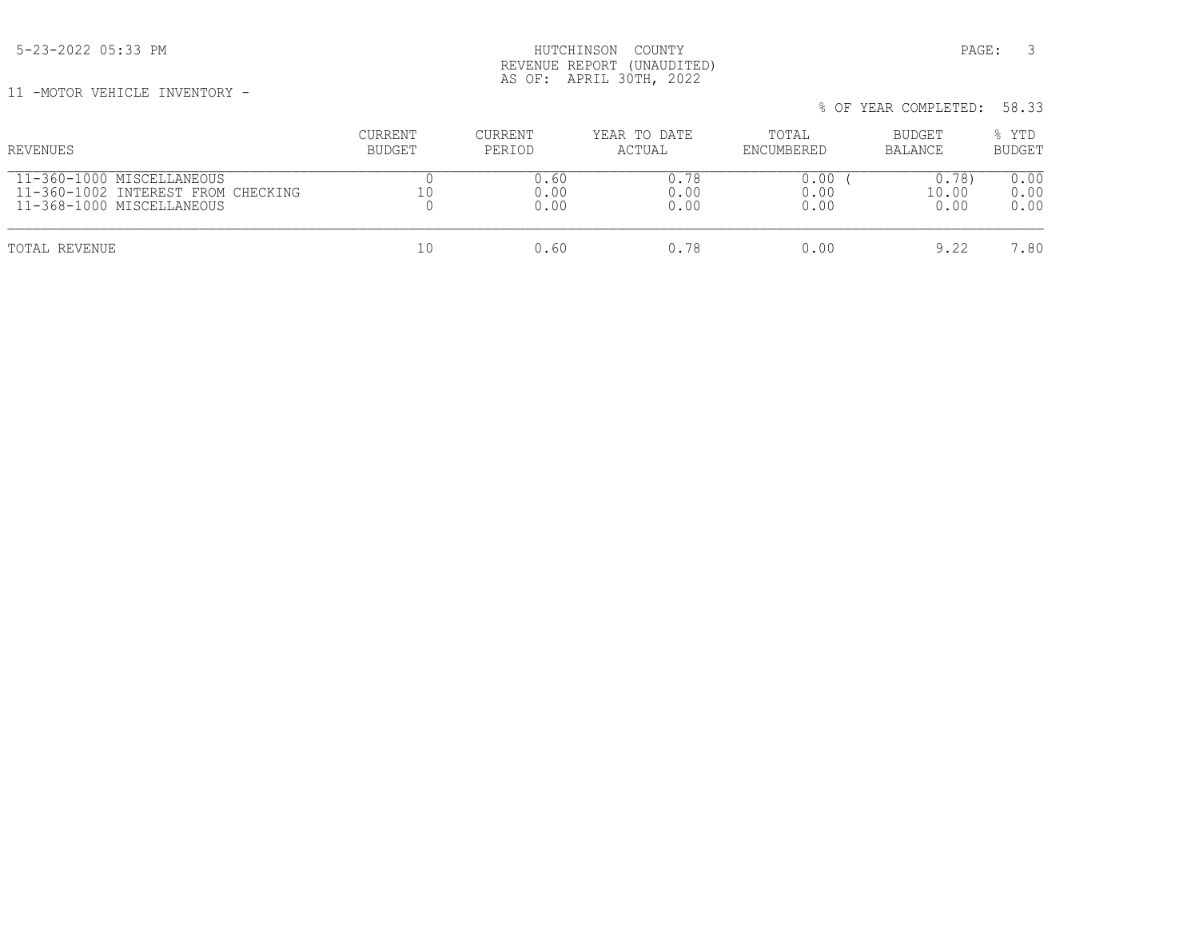5-23-2022 05:33 PM PAGE: 3 REVENUE REPORT (UNAUDITED) AS OF: APRIL 30TH, 2022

11 -MOTOR VEHICLE INVENTORY -

| REVENUES                           | <b>CURRENT</b> | CURRENT | YEAR TO DATE | TOTAL      | BUDGET  | % YTD         |
|------------------------------------|----------------|---------|--------------|------------|---------|---------------|
|                                    | <b>BUDGET</b>  | PERIOD  | ACTUAL       | ENCUMBERED | BALANCE | <b>BUDGET</b> |
| 11-360-1000 MISCELLANEOUS          | 10             | 0.60    | 0.78         | 0.00       | 0.78    | 0.00          |
| 11-360-1002 INTEREST FROM CHECKING |                | 0.00    | 0.00         | 0.00       | 10.00   | 0.00          |
| 11-368-1000 MISCELLANEOUS          |                | 0.00    | 0.00         | 0.00       | 0.00    | 0.00          |
| TOTAL REVENUE                      | 10             | 0.60    | 0.78         | 0.00       | 9.22    | 7.80          |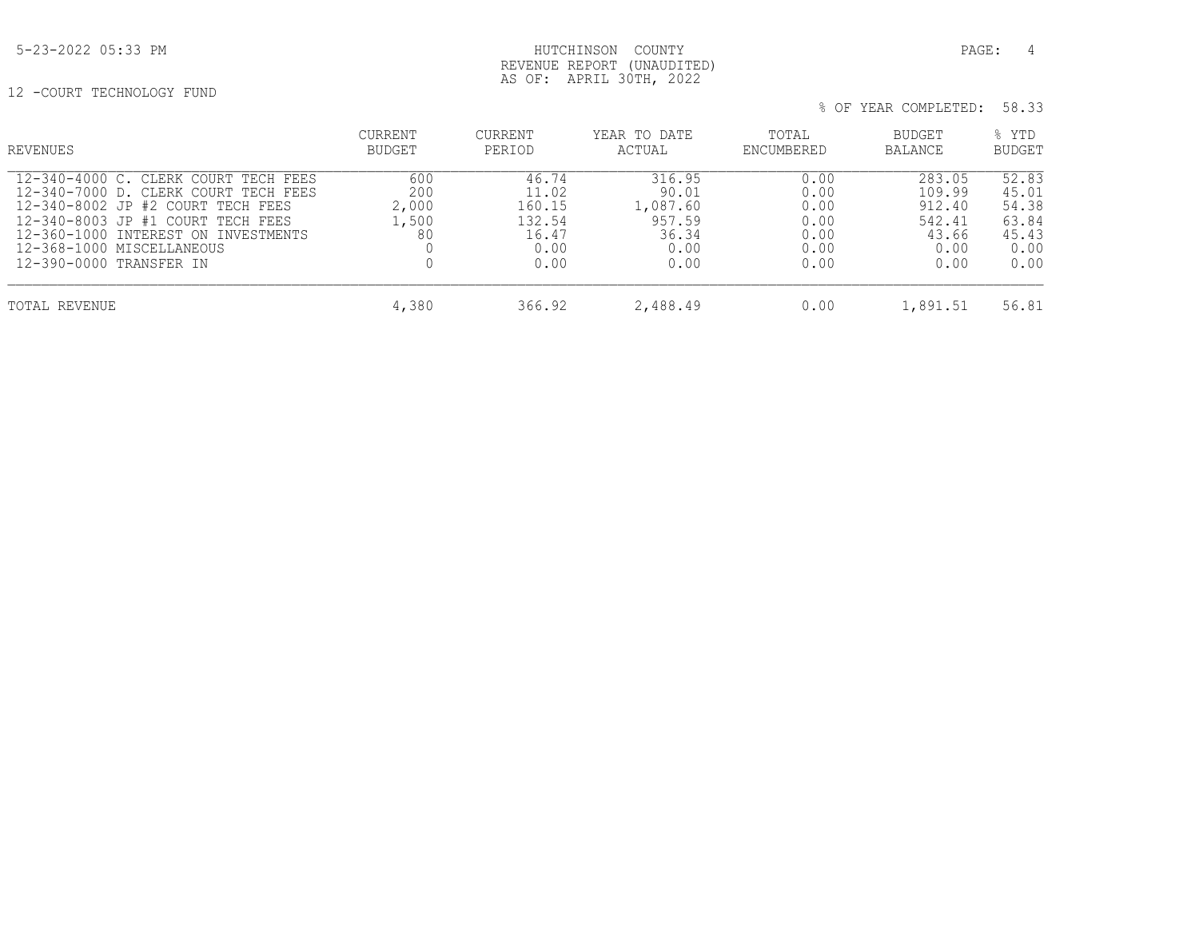## 5-23-2022 05:33 PM PAGE: 4 REVENUE REPORT (UNAUDITED) AS OF: APRIL 30TH, 2022

12 -COURT TECHNOLOGY FUND

| REVENUES                                                                                                                                                                                                                                              | <b>CURRENT</b><br><b>BUDGET</b>    | CURRENT<br>PERIOD                                           | YEAR TO DATE<br>ACTUAL                                         | TOTAL<br>ENCUMBERED                                  | BUDGET<br><b>BALANCE</b>                                      | % YTD<br><b>BUDGET</b>                                    |
|-------------------------------------------------------------------------------------------------------------------------------------------------------------------------------------------------------------------------------------------------------|------------------------------------|-------------------------------------------------------------|----------------------------------------------------------------|------------------------------------------------------|---------------------------------------------------------------|-----------------------------------------------------------|
| 12-340-4000 C. CLERK COURT TECH FEES<br>12-340-7000 D. CLERK COURT TECH FEES<br>12-340-8002 JP #2 COURT TECH FEES<br>12-340-8003 JP #1 COURT TECH FEES<br>12-360-1000 INTEREST ON INVESTMENTS<br>12-368-1000 MISCELLANEOUS<br>12-390-0000 TRANSFER IN | 600<br>200<br>2,000<br>1,500<br>80 | 46.74<br>11.02<br>160.15<br>132.54<br>16.47<br>0.00<br>0.00 | 316.95<br>90.01<br>1,087.60<br>957.59<br>36.34<br>0.00<br>0.00 | 0.00<br>0.00<br>0.00<br>0.00<br>0.00<br>0.00<br>0.00 | 283.05<br>109.99<br>912.40<br>542.41<br>43.66<br>0.00<br>0.00 | 52.83<br>45.01<br>54.38<br>63.84<br>45.43<br>0.00<br>0.00 |
| TOTAL REVENUE                                                                                                                                                                                                                                         | 4,380                              | 366.92                                                      | 2,488.49                                                       | 0.00                                                 | 1,891.51                                                      | 56.81                                                     |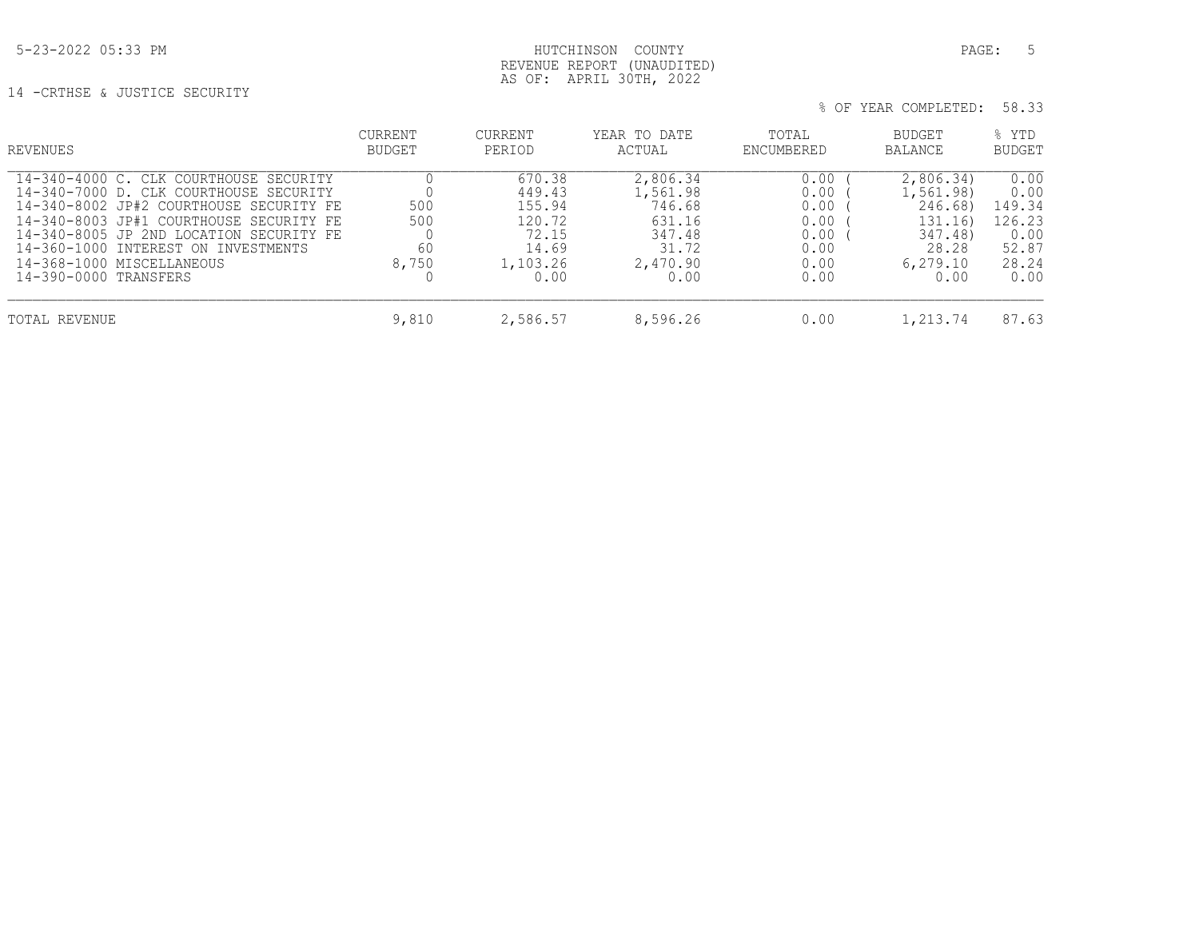5-23-2022 05:33 PM HUTCHINSON COUNTY PAGE: 5

 AS OF: APRIL 30TH, 2022 14 -CRTHSE & JUSTICE SECURITY

| REVENUES                                                                                                                                                                                                                                                                                                       | <b>CURRENT</b><br><b>BUDGET</b> | CURRENT<br>PERIOD                                                          | YEAR TO DATE<br>ACTUAL                                                          | TOTAL<br>ENCUMBERED                                          | BUDGET<br><b>BALANCE</b>                                                              | % YTD<br><b>BUDGET</b>                                             |
|----------------------------------------------------------------------------------------------------------------------------------------------------------------------------------------------------------------------------------------------------------------------------------------------------------------|---------------------------------|----------------------------------------------------------------------------|---------------------------------------------------------------------------------|--------------------------------------------------------------|---------------------------------------------------------------------------------------|--------------------------------------------------------------------|
| 14-340-4000 C. CLK COURTHOUSE SECURITY<br>14-340-7000 D. CLK COURTHOUSE SECURITY<br>14-340-8002 JP#2 COURTHOUSE SECURITY FE<br>14-340-8003 JP#1 COURTHOUSE SECURITY FE<br>14-340-8005 JP 2ND LOCATION SECURITY FE<br>14-360-1000 INTEREST ON INVESTMENTS<br>14-368-1000 MISCELLANEOUS<br>14-390-0000 TRANSFERS | 500<br>500<br>60<br>8,750       | 670.38<br>449.43<br>155.94<br>120.72<br>72.15<br>14.69<br>1,103.26<br>0.00 | 2,806.34<br>1,561.98<br>746.68<br>631.16<br>347.48<br>31.72<br>2,470.90<br>0.00 | 0.00<br>0.00<br>0.00<br>0.00<br>0.00<br>0.00<br>0.00<br>0.00 | 2,806.34)<br>1,561.98)<br>246.68)<br>131.16)<br>347.48)<br>28.28<br>6, 279.10<br>0.00 | 0.00<br>0.00<br>149.34<br>126.23<br>0.00<br>52.87<br>28.24<br>0.00 |
| TOTAL REVENUE                                                                                                                                                                                                                                                                                                  | 9,810                           | 2,586.57                                                                   | 8,596.26                                                                        | 0.00                                                         | 1,213.74                                                                              | 87.63                                                              |

REVENUE REPORT (UNAUDITED)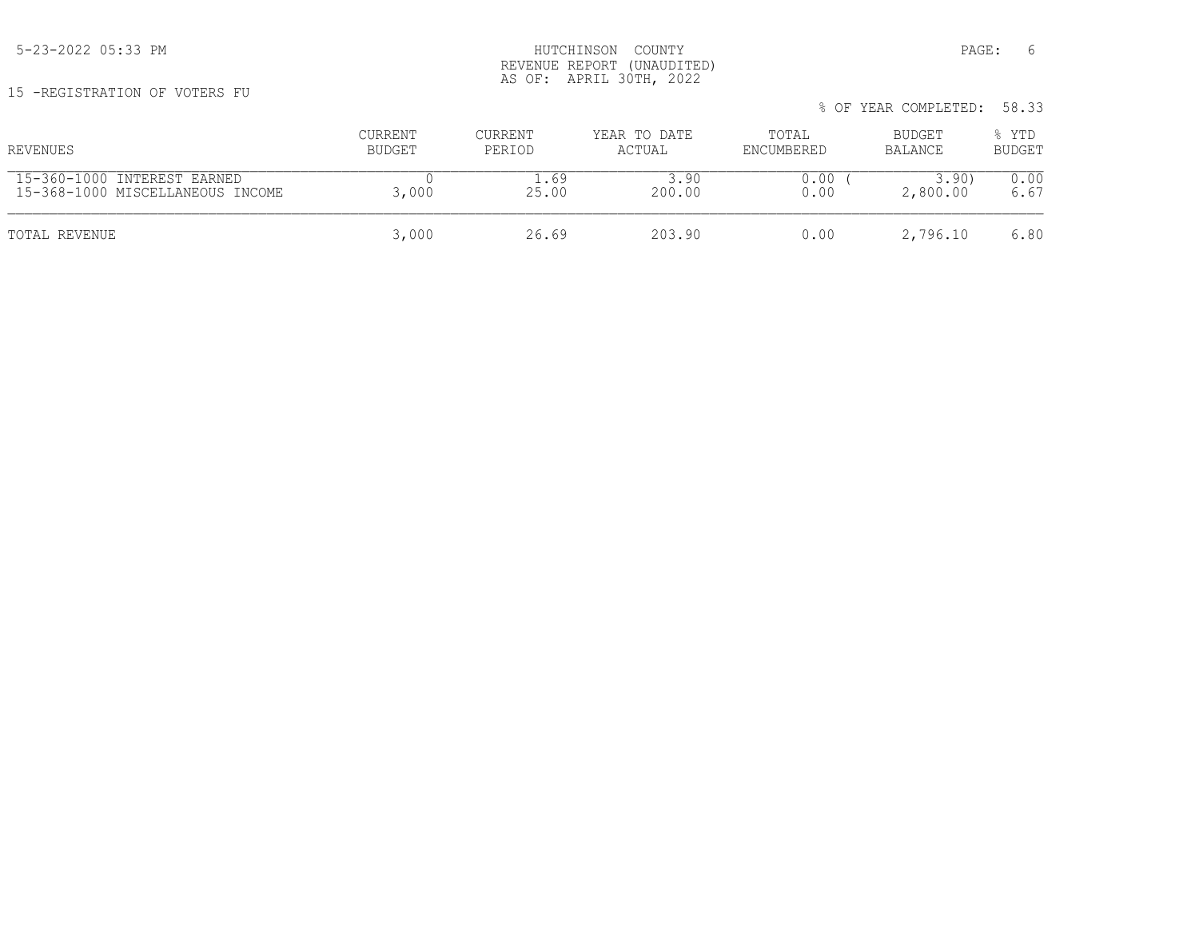15 -REGISTRATION OF VOTERS FU

| REVENUES                         | CURRENT | CURRENT | YEAR TO DATE | TOTAL      | BUDGET   | % YTD         |
|----------------------------------|---------|---------|--------------|------------|----------|---------------|
|                                  | BUDGET  | PERIOD  | ACTUAL       | ENCUMBERED | BALANCE  | <b>BUDGET</b> |
| 15-360-1000 INTEREST EARNED      | 3,000   | 69      | 3.90         | 0.00       | 3.90     | 0.00          |
| 15-368-1000 MISCELLANEOUS INCOME |         | 25.00   | 200.00       | 0.00       | 2,800.00 | 6.67          |
| TOTAL REVENUE                    | 3,000   | 26.69   | 203.90       | 0.00       | 2,796.10 | 6.80          |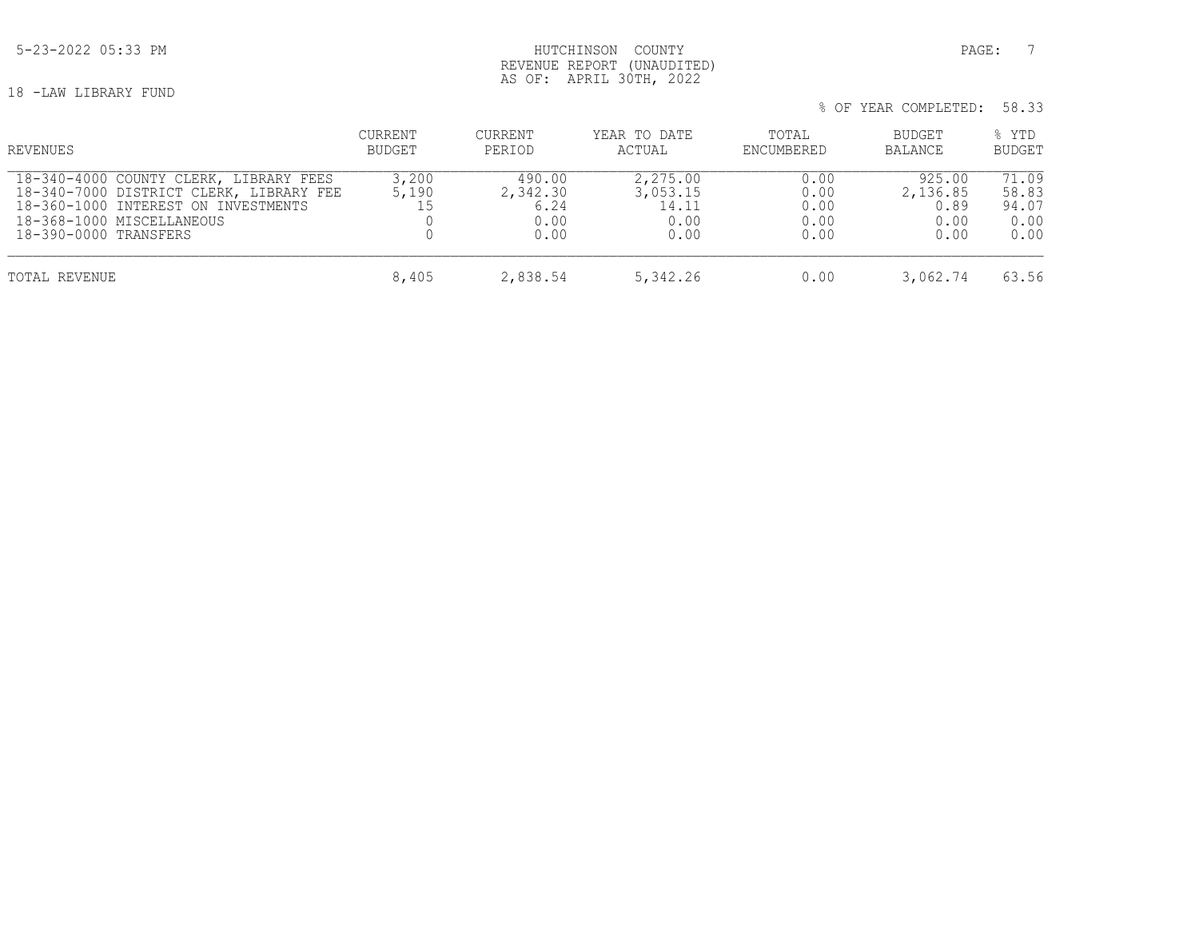## 5-23-2022 05:33 PM PAGE: 7 REVENUE REPORT (UNAUDITED) AS OF: APRIL 30TH, 2022

18 -LAW LIBRARY FUND

| % OF YEAR COMPLETED: 58.33 |  |
|----------------------------|--|
|----------------------------|--|

| REVENUES                                                                                                                                                                       | CURRENT<br>BUDGET    | <b>CURRENT</b><br>PERIOD                   | YEAR TO DATE<br>ACTUAL                        | TOTAL<br>ENCUMBERED                  | BUDGET<br><b>BALANCE</b>                   | % YTD<br><b>BUDGET</b>                  |
|--------------------------------------------------------------------------------------------------------------------------------------------------------------------------------|----------------------|--------------------------------------------|-----------------------------------------------|--------------------------------------|--------------------------------------------|-----------------------------------------|
| 18-340-4000 COUNTY CLERK, LIBRARY FEES<br>18-340-7000 DISTRICT CLERK, LIBRARY FEE<br>18-360-1000 INTEREST ON INVESTMENTS<br>18-368-1000 MISCELLANEOUS<br>18-390-0000 TRANSFERS | 3,200<br>5,190<br>15 | 490.00<br>2,342.30<br>6.24<br>0.00<br>0.00 | 2,275.00<br>3,053.15<br>14.11<br>0.00<br>0.00 | 0.00<br>0.00<br>0.00<br>0.00<br>0.00 | 925.00<br>2,136.85<br>0.89<br>0.00<br>0.00 | 71.09<br>58.83<br>94.07<br>0.00<br>0.00 |
| TOTAL REVENUE                                                                                                                                                                  | 8,405                | 2,838.54                                   | 5,342.26                                      | 0.00                                 | 3,062.74                                   | 63.56                                   |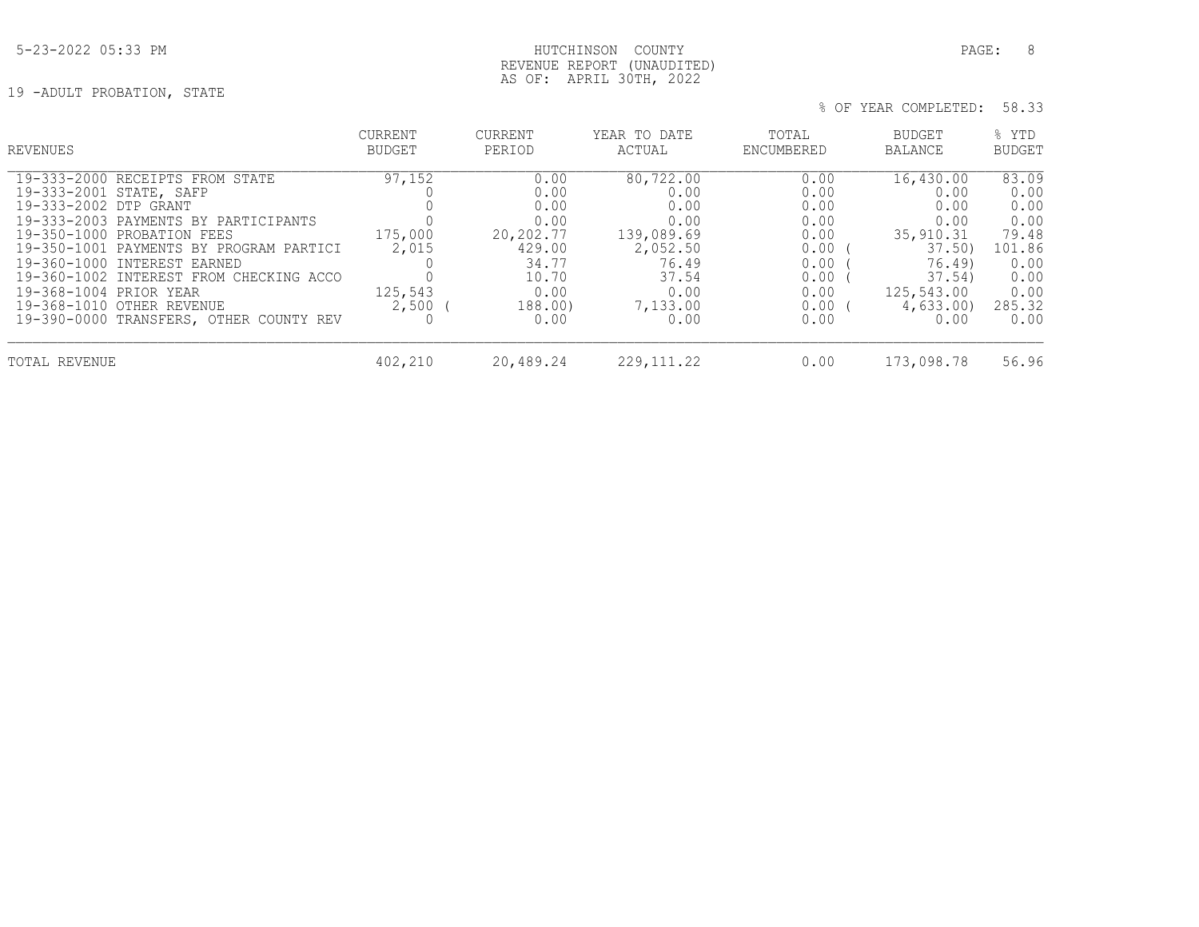## 5-23-2022 05:33 PM PAGE: 8 REVENUE REPORT (UNAUDITED) AS OF: APRIL 30TH, 2022

19 -ADULT PROBATION, STATE

| REVENUES                                | <b>CURRENT</b> | CURRENT   | YEAR TO DATE | TOTAL      | BUDGET     | % YTD         |
|-----------------------------------------|----------------|-----------|--------------|------------|------------|---------------|
|                                         | BUDGET         | PERIOD    | ACTUAL       | ENCUMBERED | BALANCE    | <b>BUDGET</b> |
| 19-333-2000 RECEIPTS FROM STATE         | 97,152         | 0.00      | 80,722.00    | 0.00       | 16,430.00  | 83.09         |
| 19-333-2001 STATE, SAFP                 |                | 0.00      | 0.00         | 0.00       | 0.00       | 0.00          |
| 19-333-2002 DTP GRANT                   |                | 0.00      | 0.00         | 0.00       | 0.00       | 0.00          |
| 19-333-2003 PAYMENTS BY PARTICIPANTS    | 175,000        | 0.00      | 0.00         | 0.00       | 0.00       | 0.00          |
| 19-350-1000 PROBATION FEES              |                | 20,202.77 | 139,089.69   | 0.00       | 35,910.31  | 79.48         |
| 19-350-1001 PAYMENTS BY PROGRAM PARTICI | 2,015          | 429.00    | 2,052.50     | 0.00       | 37.50      | 101.86        |
| 19-360-1000 INTEREST EARNED             |                | 34.77     | 76.49        | 0.00       | 76.49)     | 0.00          |
| 19-360-1002 INTEREST FROM CHECKING ACCO |                | 10.70     | 37.54        | 0.00       | 37.54)     | 0.00          |
| 19-368-1004 PRIOR YEAR                  | 125,543        | 0.00      | 0.00         | 0.00       | 125,543.00 | 0.00          |
| 19-368-1010 OTHER REVENUE               | $2,500$ (      | 188.00)   | 7,133.00     | $0.00$ (   | 4,633.00)  | 285.32        |
| 19-390-0000 TRANSFERS, OTHER COUNTY REV |                | 0.00      | 0.00         | 0.00       | 0.00       | 0.00          |
| TOTAL REVENUE                           | 402,210        | 20,489.24 | 229, 111, 22 | 0.00       | 173,098.78 | 56.96         |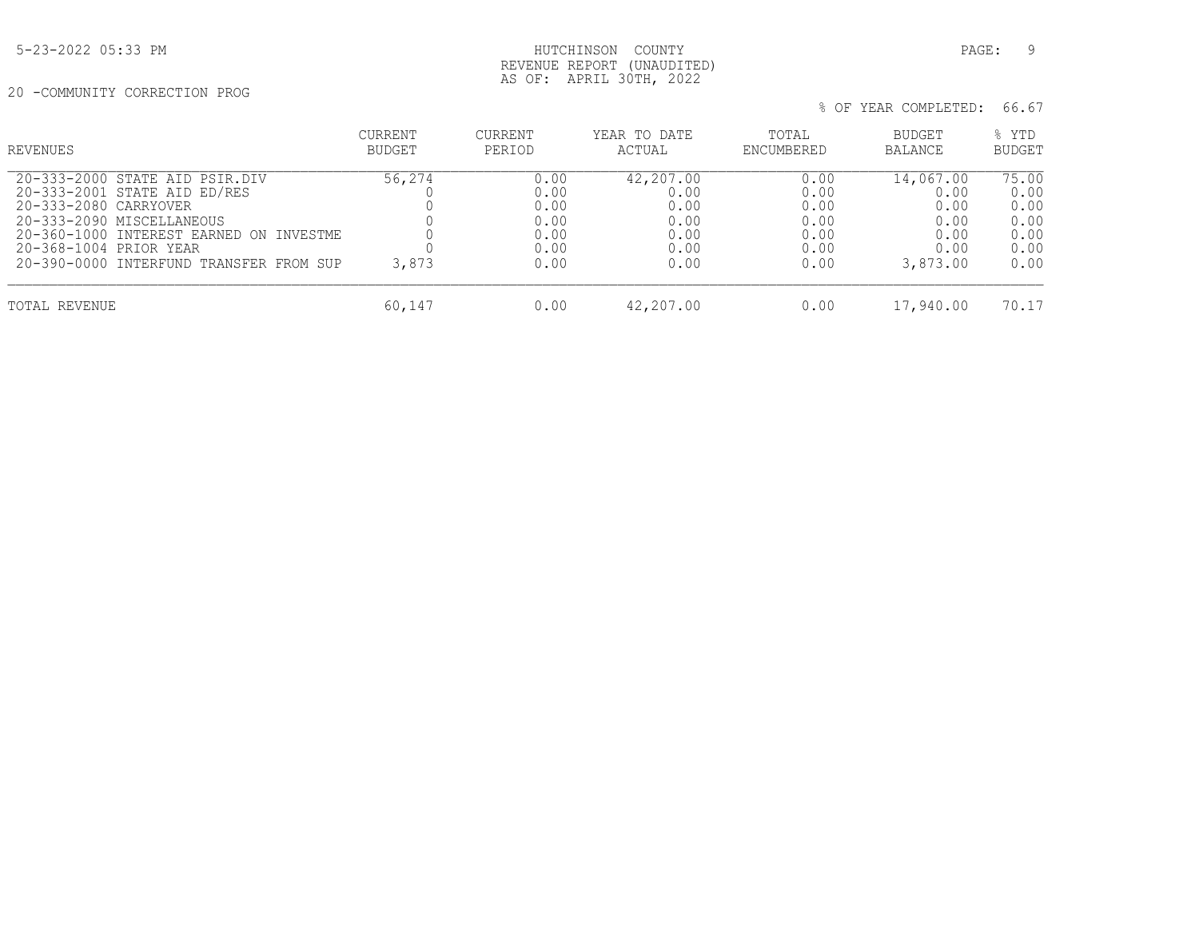## 5-23-2022 05:33 PM PAGE: 9 REVENUE REPORT (UNAUDITED) AS OF: APRIL 30TH, 2022

20 -COMMUNITY CORRECTION PROG

| REVENUES                                              | <b>CURRENT</b><br><b>BUDGET</b> | CURRENT<br>PERIOD | YEAR TO DATE<br>ACTUAL | TOTAL<br>ENCUMBERED | BUDGET<br><b>BALANCE</b> | % YTD<br><b>BUDGET</b> |
|-------------------------------------------------------|---------------------------------|-------------------|------------------------|---------------------|--------------------------|------------------------|
| 20-333-2000 STATE AID PSIR.DIV                        | 56,274                          | 0.00              | 42,207.00              | 0.00                | 14,067.00                | 75.00                  |
| 20-333-2001 STATE AID ED/RES<br>20-333-2080 CARRYOVER |                                 | 0.00<br>0.00      | 0.00<br>0.00           | 0.00<br>0.00        | 0.00<br>0.00             | 0.00<br>0.00           |
| 20-333-2090 MISCELLANEOUS                             |                                 | 0.00              | 0.00                   | 0.00                | 0.00                     | 0.00                   |
| 20-360-1000 INTEREST EARNED ON INVESTME               |                                 | 0.00              | 0.00                   | 0.00                | 0.00                     | 0.00                   |
| 20-368-1004 PRIOR YEAR                                |                                 | 0.00              | 0.00                   | 0.00                | 0.00                     | 0.00                   |
| 20-390-0000 INTERFUND TRANSFER FROM SUP               | 3,873                           | 0.00              | 0.00                   | 0.00                | 3,873.00                 | 0.00                   |
| TOTAL REVENUE                                         | 60,147                          | 0.00              | 42,207.00              | 0.00                | 17,940.00                | 70.17                  |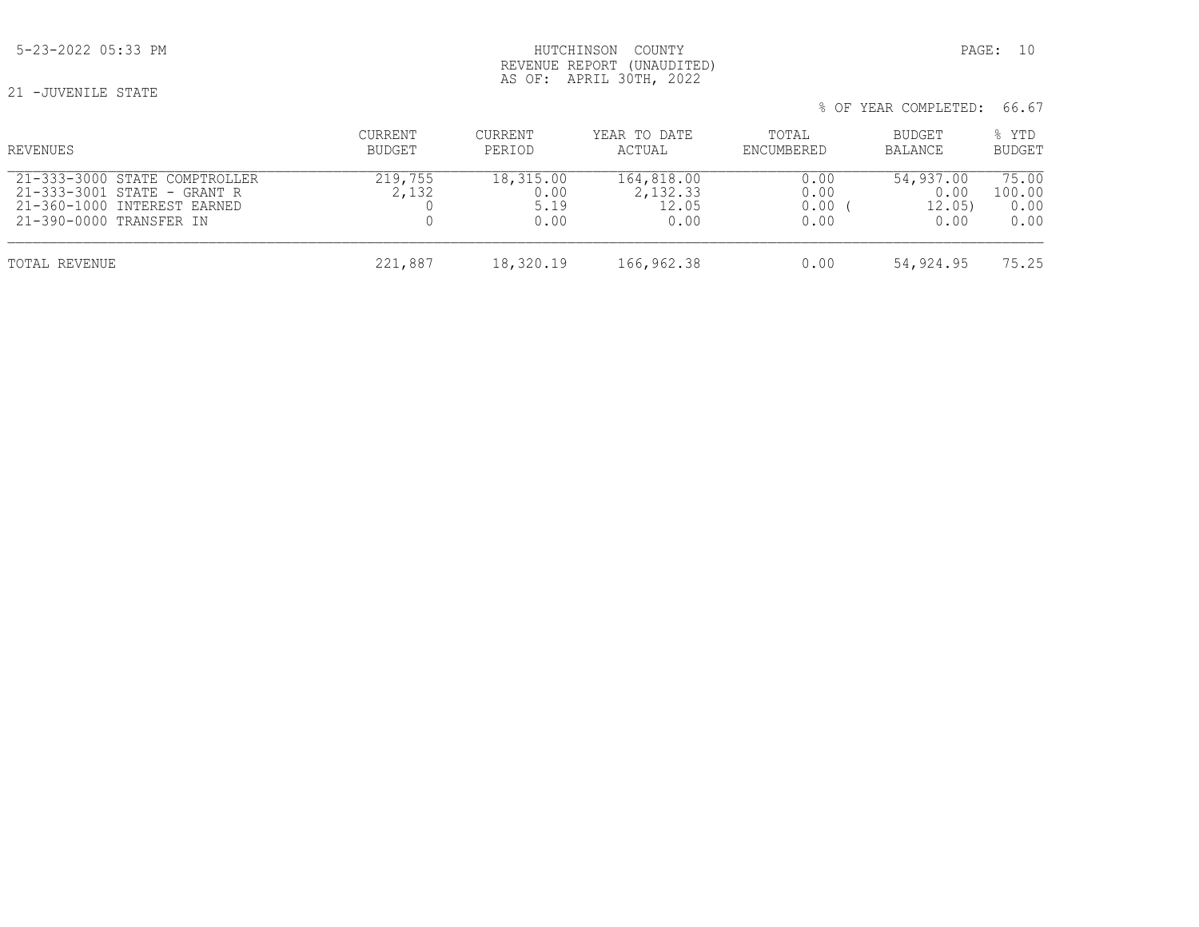% OF YEAR COMPLETED: 66.67

 CURRENT CURRENT YEAR TO DATE TOTAL BUDGET % YTD REVENUES BUDGET PERIOD ACTUAL ENCUMBERED BALANCE BUDGET 21-333-3000 STATE COMPTROLLER 219,755 18,315.00 164,818.00 0.00 54,937.00 75.00 21-333-3001 STATE - GRANT R 2,132 0.00 2,132.33 0.00 0.00 0.00 100.00 21-333-3001 STATE - GRANT R 2,132 0.00 2,132.33 0.00 0.00 100.00 21-360-1000 INTEREST EARNED 0 5.19 12.05 0.00 ( 12.05) 0.00 21-390-0000 TRANSFER IN TOTAL REVENUE 221,887 18,320.19 166,962.38 0.00 54,924.95 75.25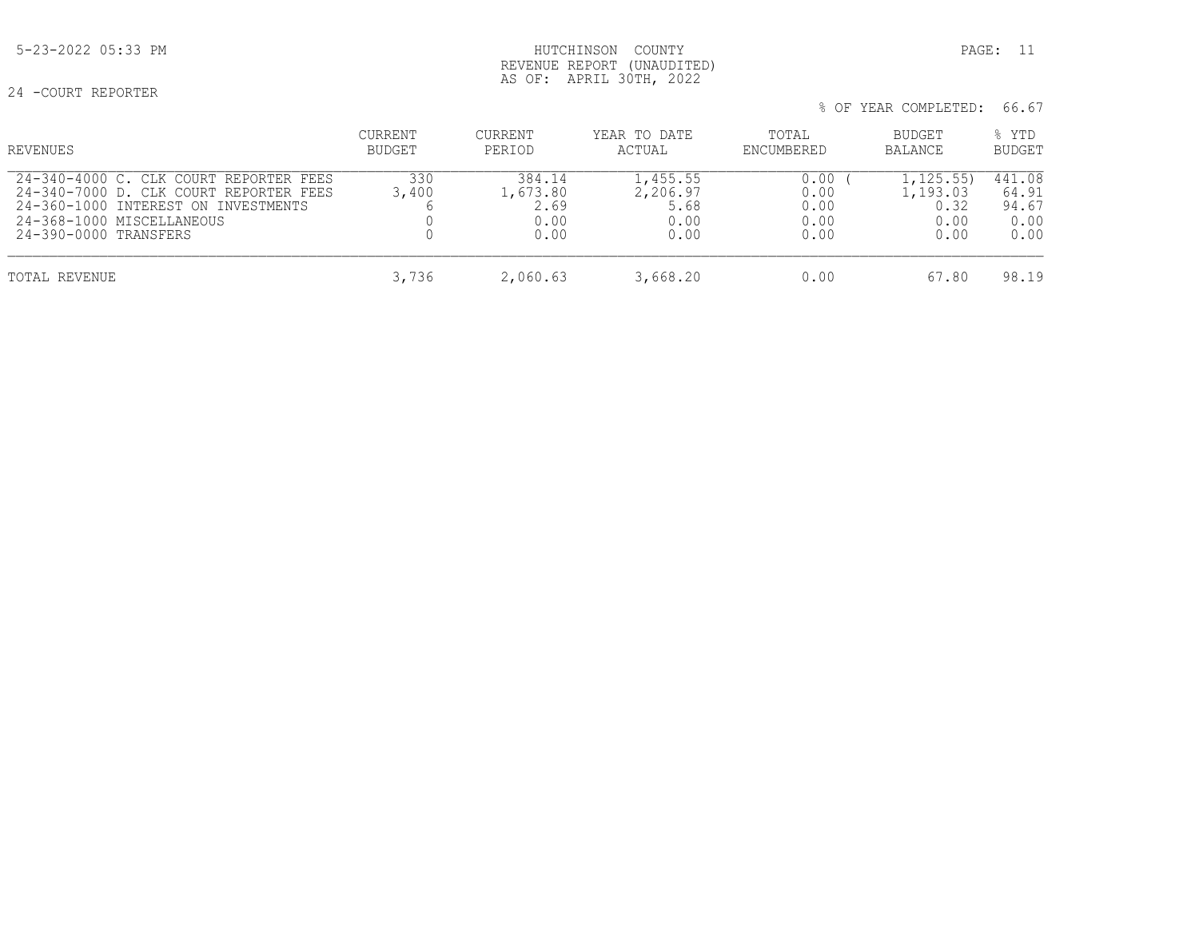## 5-23-2022 05:33 PM HUTCHINSON COUNTY PAGE: 11 REVENUE REPORT (UNAUDITED) AS OF: APRIL 30TH, 2022

24 -COURT REPORTER

| % OF YEAR COMPLETED: 66.67 |  |  |  |  |
|----------------------------|--|--|--|--|
|----------------------------|--|--|--|--|

| REVENUES                                                                                                                                                                      | CURRENT<br>BUDGET | CURRENT<br>PERIOD                          | YEAR TO DATE<br>ACTUAL                       | TOTAL<br>ENCUMBERED                  | BUDGET<br>BALANCE                             | % YTD<br><b>BUDGET</b>                   |
|-------------------------------------------------------------------------------------------------------------------------------------------------------------------------------|-------------------|--------------------------------------------|----------------------------------------------|--------------------------------------|-----------------------------------------------|------------------------------------------|
| 24-340-4000 C. CLK COURT REPORTER FEES<br>24-340-7000 D. CLK COURT REPORTER FEES<br>24-360-1000 INTEREST ON INVESTMENTS<br>24-368-1000 MISCELLANEOUS<br>24-390-0000 TRANSFERS | 330<br>3,400      | 384.14<br>1,673.80<br>2.69<br>0.00<br>0.00 | 1,455.55<br>2,206.97<br>5.68<br>0.00<br>0.00 | 0.00<br>0.00<br>0.00<br>0.00<br>0.00 | 1,125.55)<br>1,193.03<br>0.32<br>0.00<br>0.00 | 441.08<br>64.91<br>94.67<br>0.00<br>0.00 |
| TOTAL REVENUE                                                                                                                                                                 | 3,736             | 2,060.63                                   | 3,668.20                                     | 0.00                                 | 67.80                                         | 98.19                                    |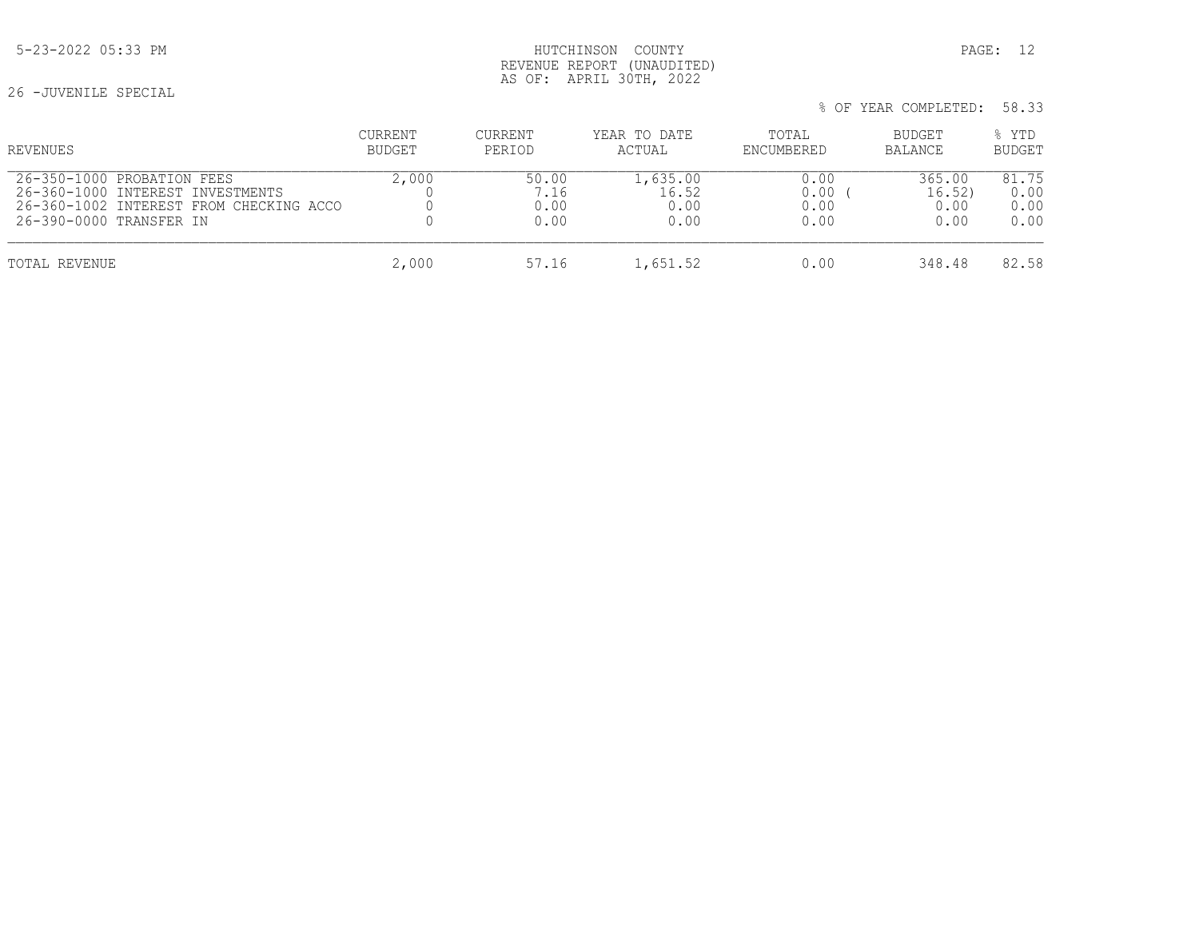## 5-23-2022 05:33 PM HUTCHINSON COUNTY PAGE: 12 REVENUE REPORT (UNAUDITED) AS OF: APRIL 30TH, 2022

26 -JUVENILE SPECIAL

| % OF YEAR COMPLETED: 58.33 |  |
|----------------------------|--|
|----------------------------|--|

| REVENUES                                | CURRENT       | <b>CURRENT</b> | YEAR TO DATE | TOTAL      | <b>BUDGET</b>  | % YTD         |
|-----------------------------------------|---------------|----------------|--------------|------------|----------------|---------------|
|                                         | <b>BUDGET</b> | PERIOD         | ACTUAL       | ENCUMBERED | <b>BALANCE</b> | <b>BUDGET</b> |
| 26-350-1000 PROBATION FEES              | 2,000         | 50.00          | 1,635.00     | 0.00       | 365.00         | 81.75         |
| 26-360-1000 INTEREST INVESTMENTS        |               | 7.16           | 16.52        | 0.00       | 16.52)         | 0.00          |
| 26-360-1002 INTEREST FROM CHECKING ACCO |               | 0.00           | 0.00         | 0.00       | 0.00           | 0.00          |
| 26-390-0000 TRANSFER IN                 |               | 0.00           | 0.00         | 0.00       | 0.00           | 0.00          |
| TOTAL REVENUE                           | 2,000         | 57.16          | 1,651.52     | 0.00       | 348.48         | 82.58         |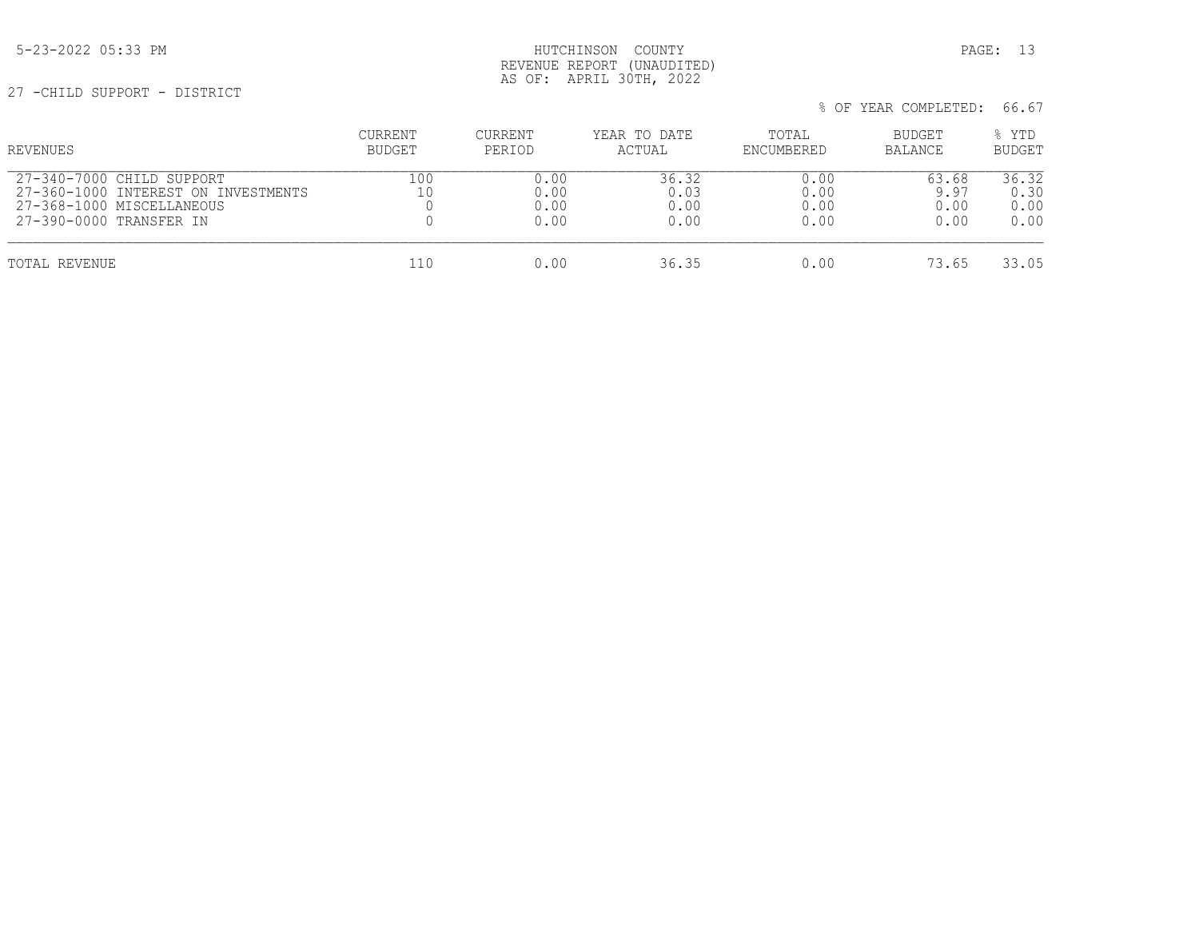## 5-23-2022 05:33 PM HUTCHINSON COUNTY PAGE: 13 REVENUE REPORT (UNAUDITED) AS OF: APRIL 30TH, 2022

27 -CHILD SUPPORT - DISTRICT

| REVENUES                                                                                                                 | CURRENT<br>BUDGET | CURRENT<br>PERIOD            | YEAR TO DATE<br>ACTUAL        | TOTAL<br>ENCUMBERED          | BUDGET<br>BALANCE             | % YTD<br><b>BUDGET</b>        |
|--------------------------------------------------------------------------------------------------------------------------|-------------------|------------------------------|-------------------------------|------------------------------|-------------------------------|-------------------------------|
| 27-340-7000 CHILD SUPPORT<br>27-360-1000 INTEREST ON INVESTMENTS<br>27-368-1000 MISCELLANEOUS<br>27-390-0000 TRANSFER IN | 100<br>10         | 0.00<br>0.00<br>0.00<br>0.00 | 36.32<br>0.03<br>0.00<br>0.00 | 0.00<br>0.00<br>0.00<br>0.00 | 63.68<br>9.97<br>0.00<br>0.00 | 36.32<br>0.30<br>0.00<br>0.00 |
| TOTAL REVENUE                                                                                                            | 110               | 0.00                         | 36.35                         | 0.00                         | 73.65                         | 33.05                         |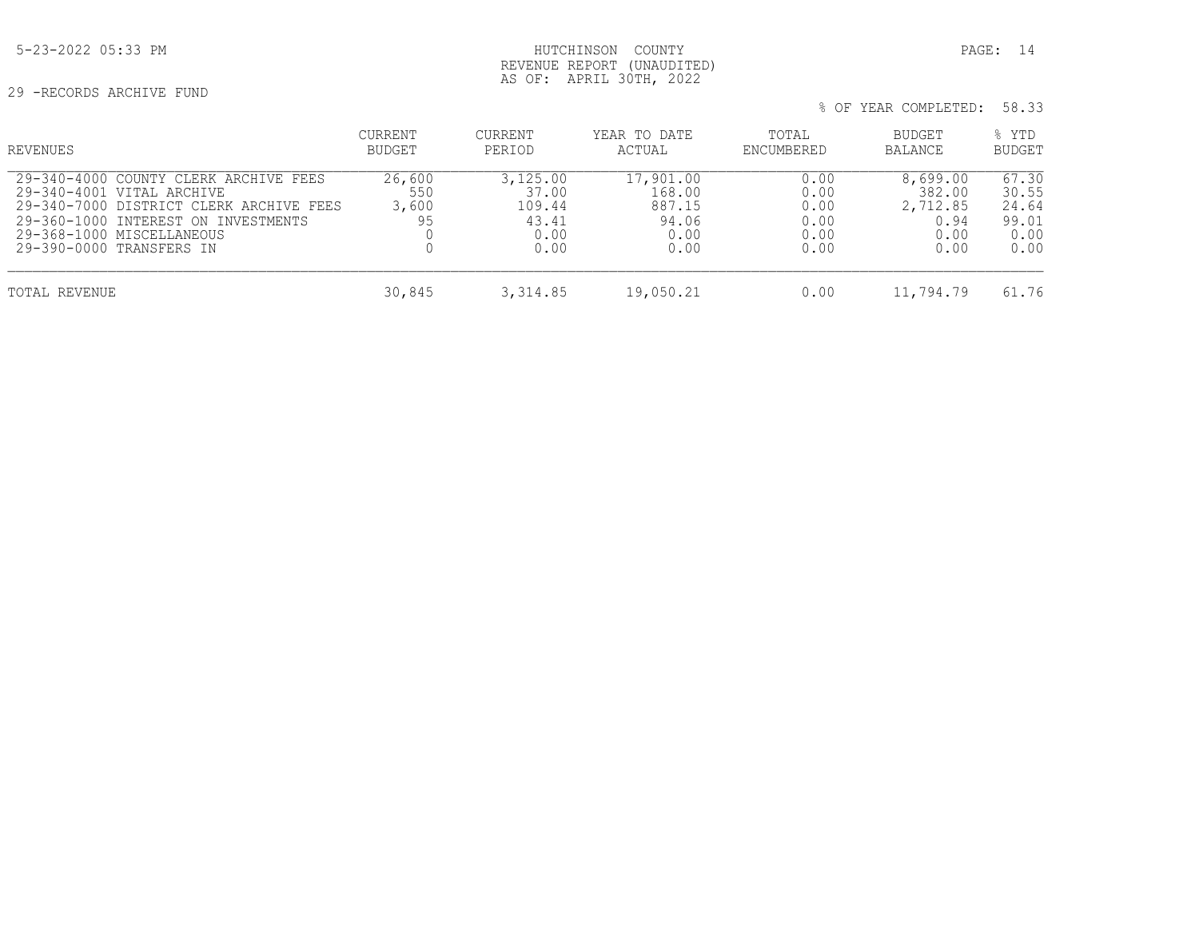29 -RECORDS ARCHIVE FUND

## 5-23-2022 05:33 PM HUTCHINSON COUNTY PAGE: 14 REVENUE REPORT (UNAUDITED) AS OF: APRIL 30TH, 2022

| REVENUES                                                                                                                                                                                                      | <b>CURRENT</b><br><b>BUDGET</b> | CURRENT<br>PERIOD                                    | YEAR TO DATE<br>ACTUAL                                 | TOTAL<br>ENCUMBERED                          | BUDGET<br>BALANCE                                      | % YTD<br><b>BUDGET</b>                           |
|---------------------------------------------------------------------------------------------------------------------------------------------------------------------------------------------------------------|---------------------------------|------------------------------------------------------|--------------------------------------------------------|----------------------------------------------|--------------------------------------------------------|--------------------------------------------------|
| 29-340-4000 COUNTY CLERK ARCHIVE FEES<br>29-340-4001 VITAL ARCHIVE<br>29-340-7000 DISTRICT CLERK ARCHIVE FEES<br>29-360-1000 INTEREST ON INVESTMENTS<br>29-368-1000 MISCELLANEOUS<br>29-390-0000 TRANSFERS IN | 26,600<br>550<br>3,600<br>95    | 3,125.00<br>37.00<br>109.44<br>43.41<br>0.00<br>0.00 | 17,901.00<br>168.00<br>887.15<br>94.06<br>0.00<br>0.00 | 0.00<br>0.00<br>0.00<br>0.00<br>0.00<br>0.00 | 8,699.00<br>382.00<br>2,712.85<br>0.94<br>0.00<br>0.00 | 67.30<br>30.55<br>24.64<br>99.01<br>0.00<br>0.00 |
| TOTAL REVENUE                                                                                                                                                                                                 | 30,845                          | 3, 314.85                                            | 19,050.21                                              | 0.00                                         | 11,794.79                                              | 61.76                                            |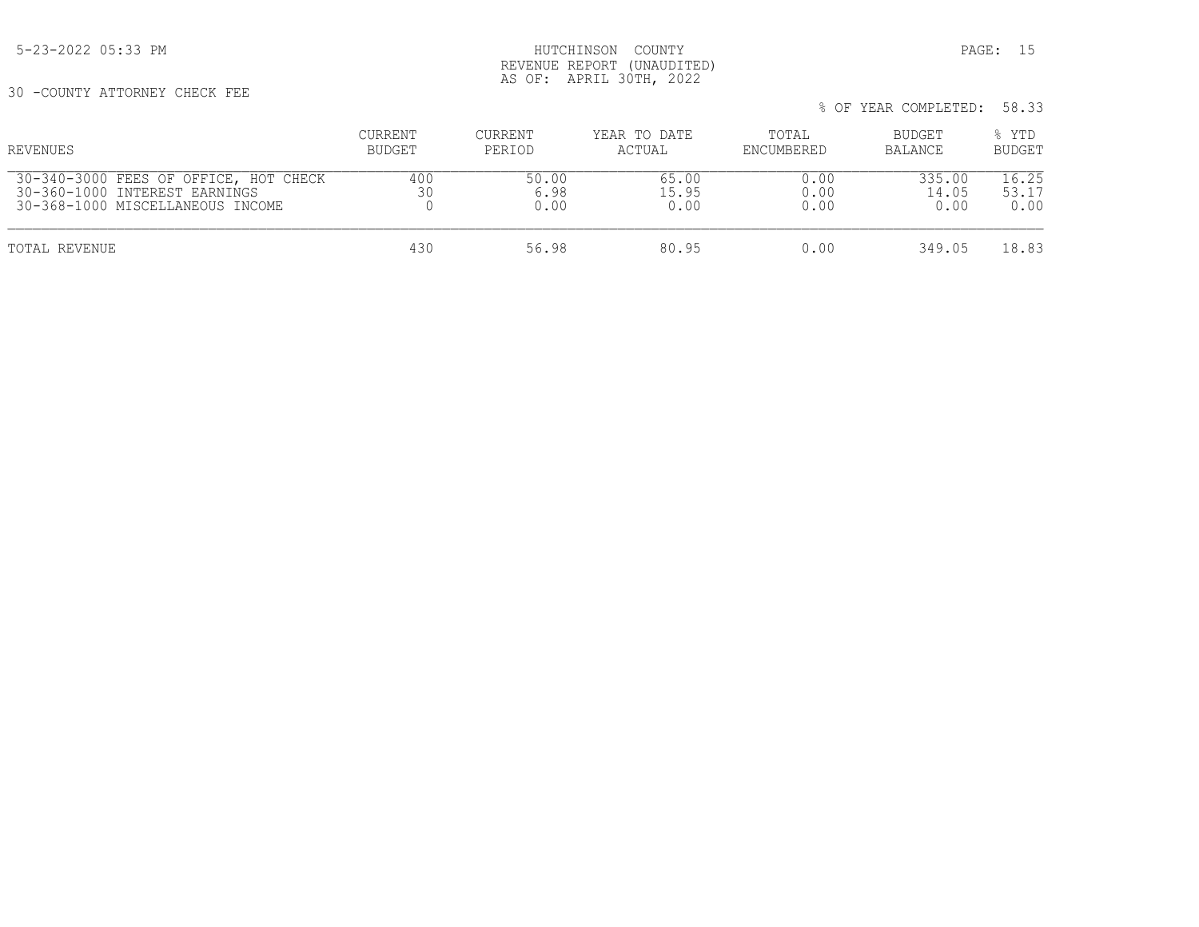## 5-23-2022 05:33 PM HUTCHINSON COUNTY PAGE: 15 REVENUE REPORT (UNAUDITED) AS OF: APRIL 30TH, 2022

30 -COUNTY ATTORNEY CHECK FEE

| REVENUES                                                                                                   | <b>CURRENT</b><br>BUDGET | CURRENT<br>PERIOD     | YEAR TO DATE<br>ACTUAL | TOTAL<br>ENCUMBERED  | BUDGET<br>BALANCE       | % YTD<br><b>BUDGET</b> |
|------------------------------------------------------------------------------------------------------------|--------------------------|-----------------------|------------------------|----------------------|-------------------------|------------------------|
| 30-340-3000 FEES OF OFFICE, HOT CHECK<br>30-360-1000 INTEREST EARNINGS<br>30-368-1000 MISCELLANEOUS INCOME | 400<br>30                | 50.00<br>6.98<br>0.00 | 65.00<br>15.95<br>0.00 | 0.00<br>0.00<br>0.00 | 335.00<br>14.05<br>0.00 | 16.25<br>53.17<br>0.00 |
| TOTAL REVENUE                                                                                              | 430                      | 56.98                 | 80.95                  | 0.00                 | 349.05                  | 18.83                  |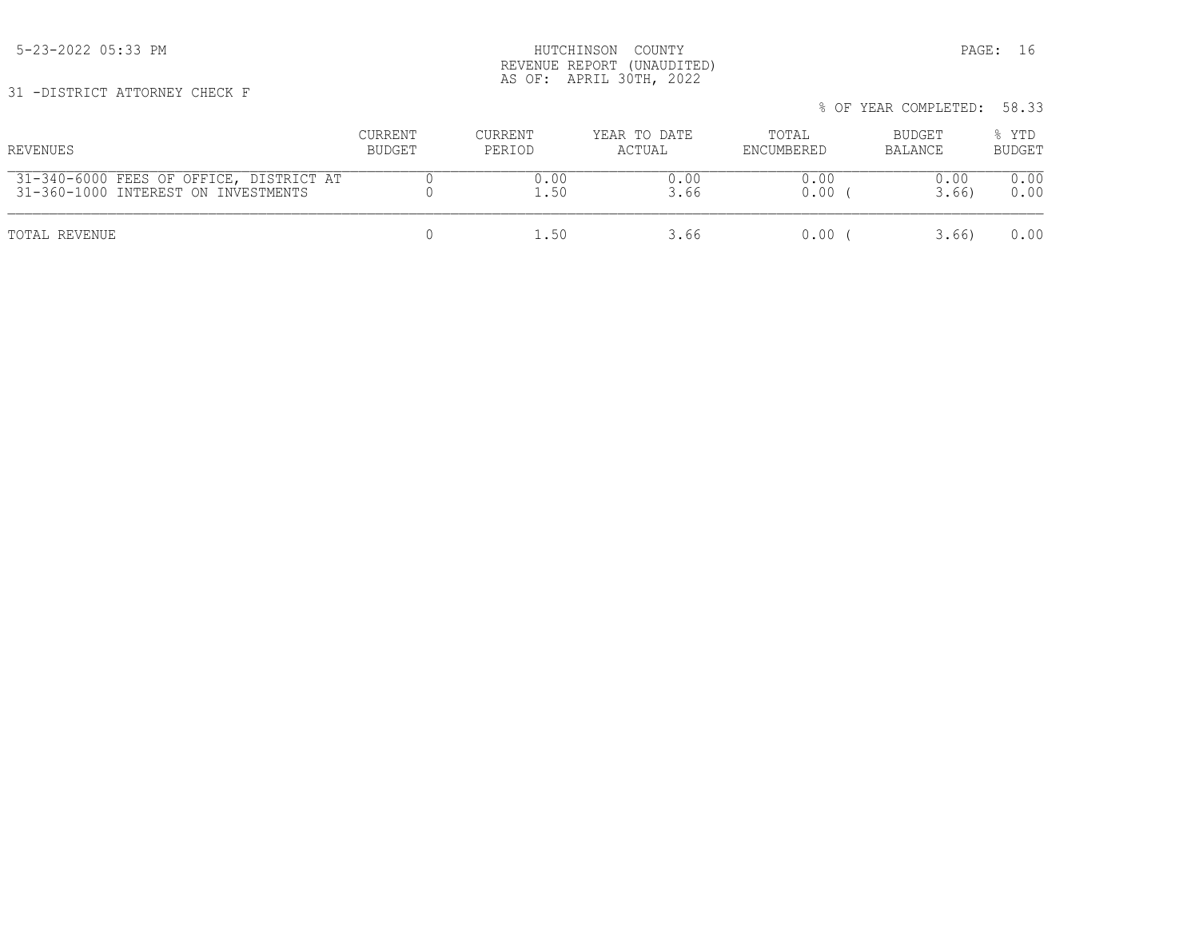5-23-2022 05:33 PM HUTCHINSON COUNTY PAGE: 16 REVENUE REPORT (UNAUDITED) AS OF: APRIL 30TH, 2022

31 -DISTRICT ATTORNEY CHECK F

| REVENUES                                | CURRENT | CURRENT | YEAR TO DATE | TOTAL      | BUDGET  | % YTD         |
|-----------------------------------------|---------|---------|--------------|------------|---------|---------------|
|                                         | BUDGET  | PERIOD  | ACTUAL       | ENCUMBERED | BALANCE | <b>BUDGET</b> |
| 31-340-6000 FEES OF OFFICE, DISTRICT AT |         | 0.00    | 0.00         | 0.00       | 0.00    | 0.00          |
| 31-360-1000 INTEREST ON INVESTMENTS     |         | 1.50    | 3.66         | 0.00       | 3.66    | 0.00          |
| TOTAL REVENUE                           |         | .50     | 3.66         | 0.00       | 3.66)   | 0.00          |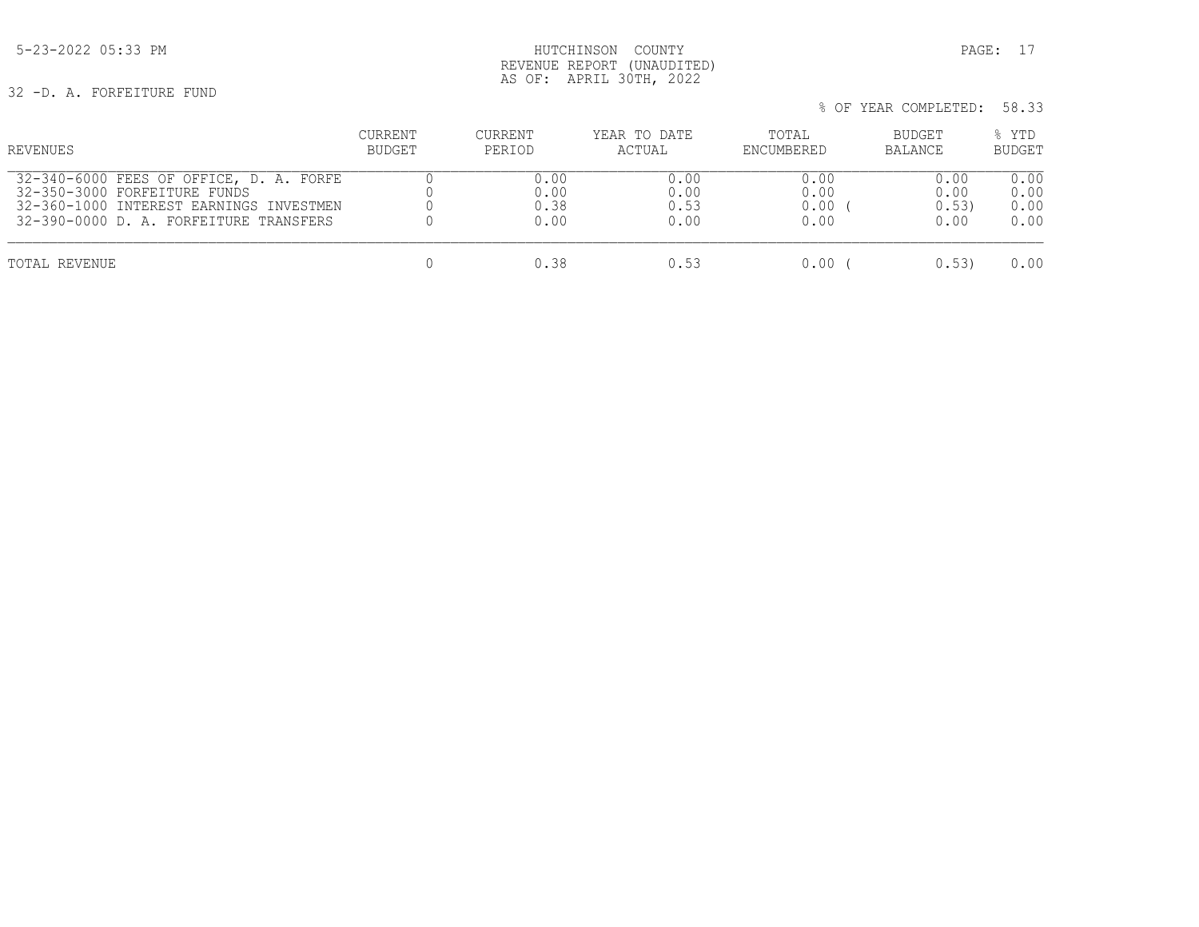## 5-23-2022 05:33 PM HUTCHINSON COUNTY PAGE: 17 REVENUE REPORT (UNAUDITED) AS OF: APRIL 30TH, 2022

32 -D. A. FORFEITURE FUND

| REVENUES                                | CURRENT | CURRENT | YEAR TO DATE | TOTAL      | BUDGET         | % YTD         |
|-----------------------------------------|---------|---------|--------------|------------|----------------|---------------|
|                                         | BUDGET  | PERIOD  | ACTUAL       | ENCUMBERED | <b>BALANCE</b> | <b>BUDGET</b> |
| 32-340-6000 FEES OF OFFICE, D. A. FORFE |         | 0.00    | 0.00         | 0.00       | 0.00           | 0.00          |
| 32-350-3000 FORFEITURE FUNDS            |         | 0.00    | 0.00         | 0.00       | 0.00           | 0.00          |
| 32-360-1000 INTEREST EARNINGS INVESTMEN |         | 0.38    | 0.53         | 0.00       | 0.53           | 0.00          |
| 32-390-0000 D. A. FORFEITURE TRANSFERS  |         | 0.00    | 0.00         | 0.00       | 0.00           | 0.00          |
| TOTAL REVENUE                           |         | 0.38    | 0.53         | 0.00       | 0.53           | 0.00          |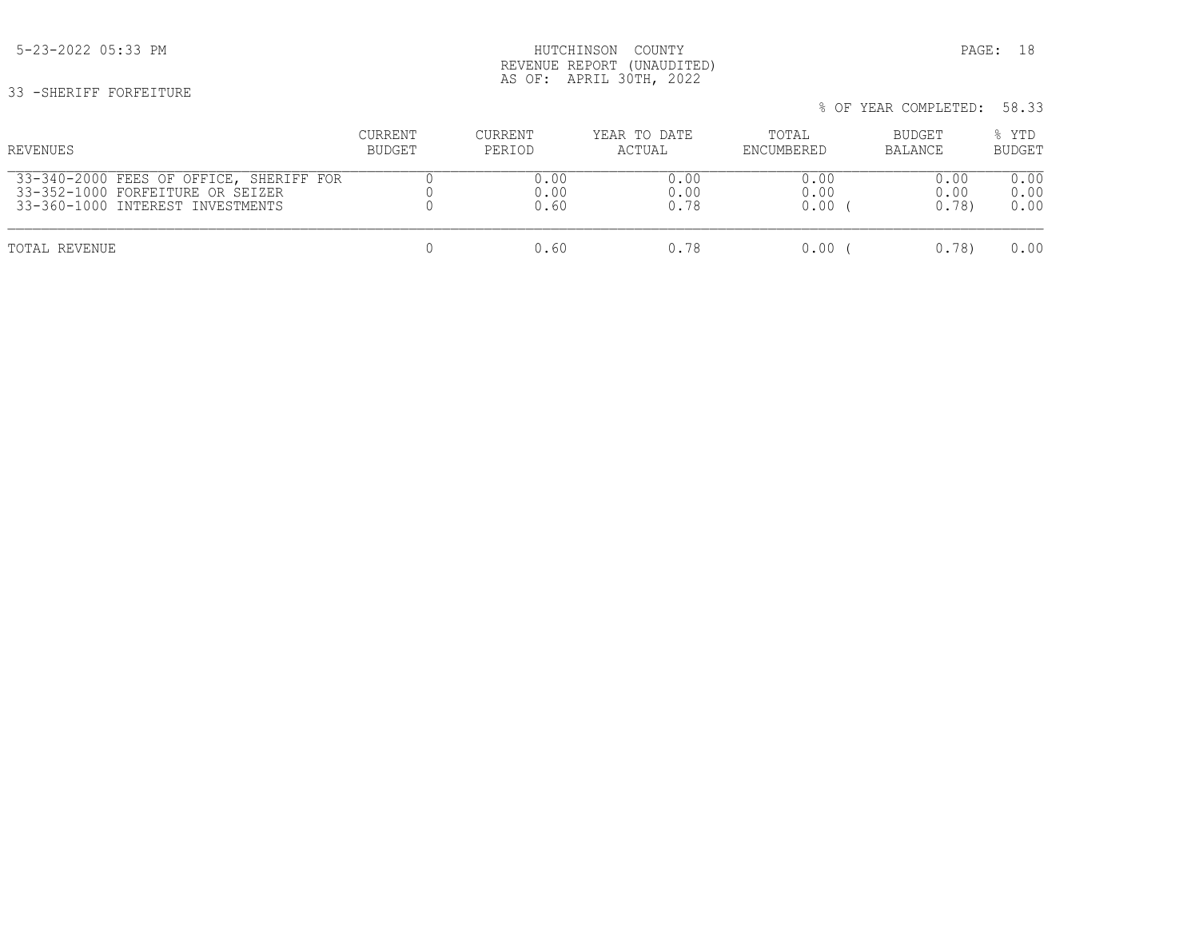## 5-23-2022 05:33 PM HUTCHINSON COUNTY PAGE: 18 REVENUE REPORT (UNAUDITED) AS OF: APRIL 30TH, 2022

33 -SHERIFF FORFEITURE

| REVENUES                                | <b>CURRENT</b> | CURRENT | YEAR TO DATE | TOTAL      | <b>BUDGET</b> | % YTD         |
|-----------------------------------------|----------------|---------|--------------|------------|---------------|---------------|
|                                         | <b>BUDGET</b>  | PERIOD  | ACTUAL       | ENCUMBERED | BALANCE       | <b>BUDGET</b> |
| 33-340-2000 FEES OF OFFICE, SHERIFF FOR |                | 0.00    | 0.00         | 0.00       | 0.00          | 0.00          |
| 33-352-1000 FORFEITURE OR SEIZER        |                | 0.00    | 0.00         | 0.00       | 0.00          | 0.00          |
| 33-360-1000 INTEREST INVESTMENTS        |                | 0.60    | 0.78         | 0.00       | 0.78          | 0.00          |
| TOTAL REVENUE                           |                | 0.60    | 0.78         | 0.00       | 0.78          | 0.00          |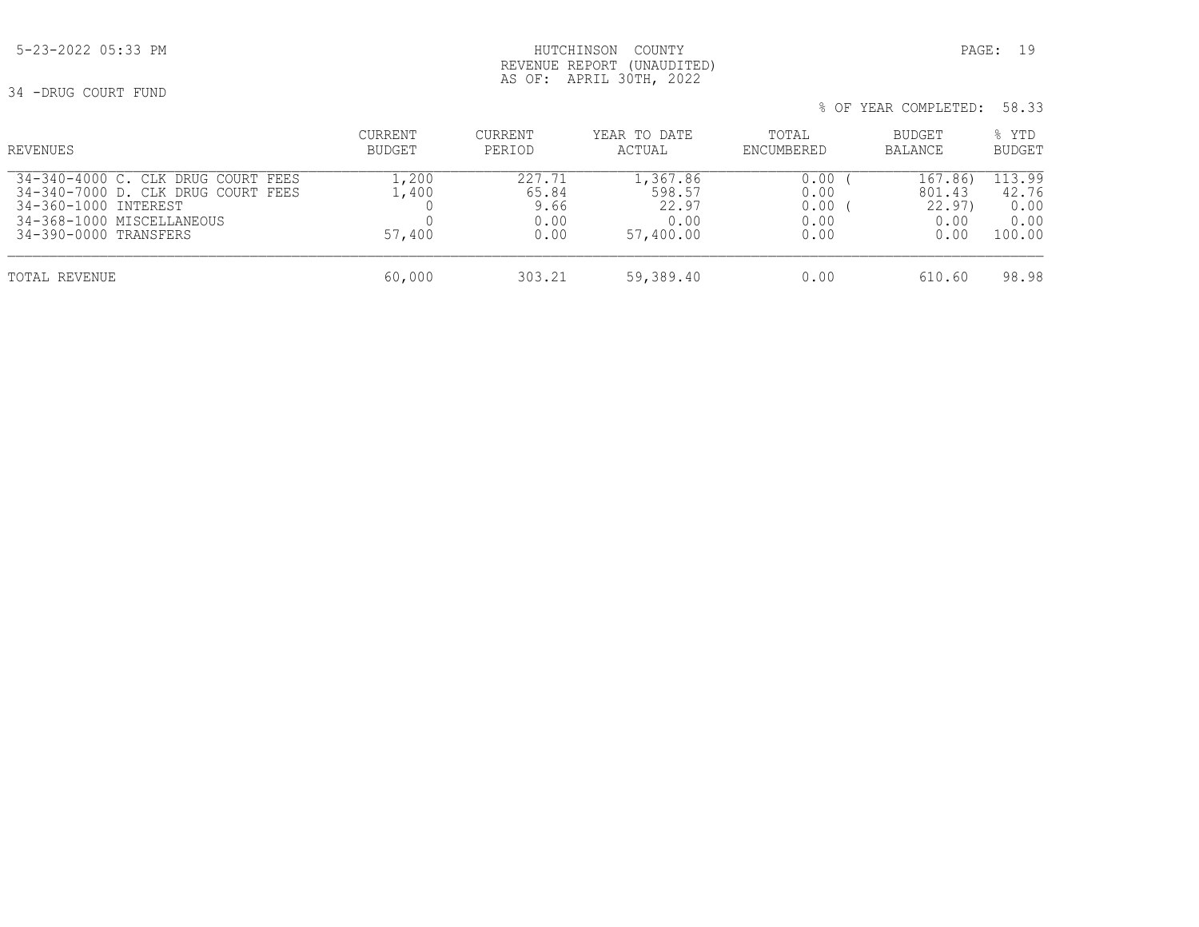## 5-23-2022 05:33 PM HUTCHINSON COUNTY PAGE: 19 REVENUE REPORT (UNAUDITED) AS OF: APRIL 30TH, 2022

34 -DRUG COURT FUND

| % OF YEAR COMPLETED: 58.33 |  |
|----------------------------|--|
|----------------------------|--|

| REVENUES                                                                                                                                                  | CURRENT<br>BUDGET        | CURRENT<br>PERIOD                       | YEAR TO DATE<br>ACTUAL                           | TOTAL<br>ENCUMBERED                  | <b>BUDGET</b><br><b>BALANCE</b>             | % YTD<br><b>BUDGET</b>                    |
|-----------------------------------------------------------------------------------------------------------------------------------------------------------|--------------------------|-----------------------------------------|--------------------------------------------------|--------------------------------------|---------------------------------------------|-------------------------------------------|
| 34-340-4000 C. CLK DRUG COURT<br>FEES<br>34-340-7000 D. CLK DRUG COURT FEES<br>34-360-1000 INTEREST<br>34-368-1000 MISCELLANEOUS<br>34-390-0000 TRANSFERS | .,200<br>.,400<br>57,400 | 227.71<br>65.84<br>9.66<br>0.00<br>0.00 | 1,367.86<br>598.57<br>22.97<br>0.00<br>57,400.00 | 0.00<br>0.00<br>0.00<br>0.00<br>0.00 | 167.86)<br>801.43<br>22.97)<br>0.00<br>0.00 | 113.99<br>42.76<br>0.00<br>0.00<br>100.00 |
| TOTAL REVENUE                                                                                                                                             | 60,000                   | 303.21                                  | 59,389.40                                        | 0.00                                 | 610.60                                      | 98.98                                     |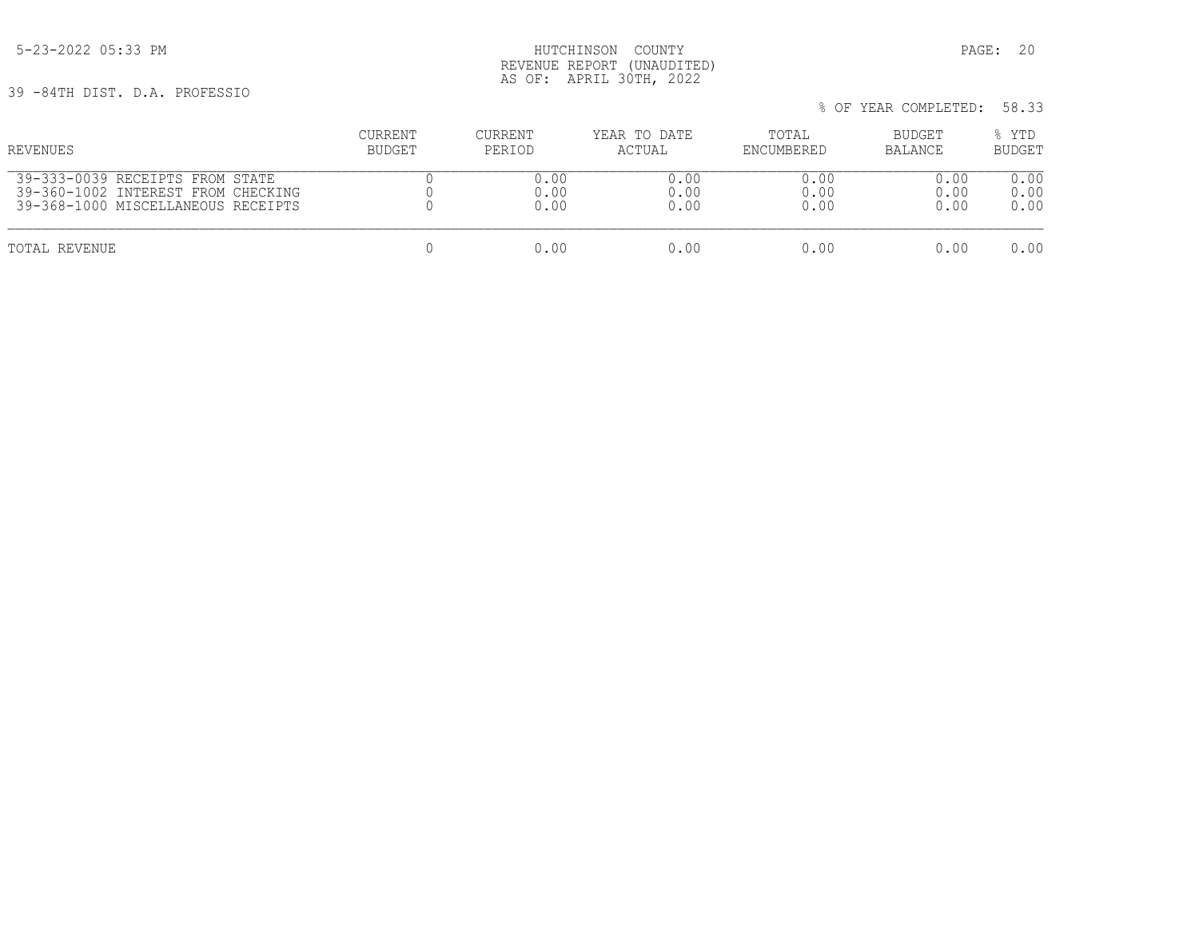5-23-2022 05:33 PM HUTCHINSON COUNTY PAGE: 20 REVENUE REPORT (UNAUDITED) AS OF: APRIL 30TH, 2022

39 -84TH DIST. D.A. PROFESSIO

| REVENUES                           | <b>CURRENT</b> | CURRENT | YEAR TO DATE | TOTAL      | BUDGET  | % YTD         |
|------------------------------------|----------------|---------|--------------|------------|---------|---------------|
|                                    | BUDGET         | PERIOD  | ACTUAL       | ENCUMBERED | BALANCE | <b>BUDGET</b> |
| 39-333-0039 RECEIPTS FROM STATE    |                | 0.00    | 0.00         | 0.00       | 0.00    | 0.00          |
| 39-360-1002 INTEREST FROM CHECKING |                | 0.00    | 0.00         | 0.00       | 0.00    | 0.00          |
| 39-368-1000 MISCELLANEOUS RECEIPTS |                | 0.00    | 0.00         | 0.00       | 0.00    | 0.00          |
| TOTAL REVENUE                      |                | 0.00    | 0.00         | 0.00       | 0.00    | 0.00          |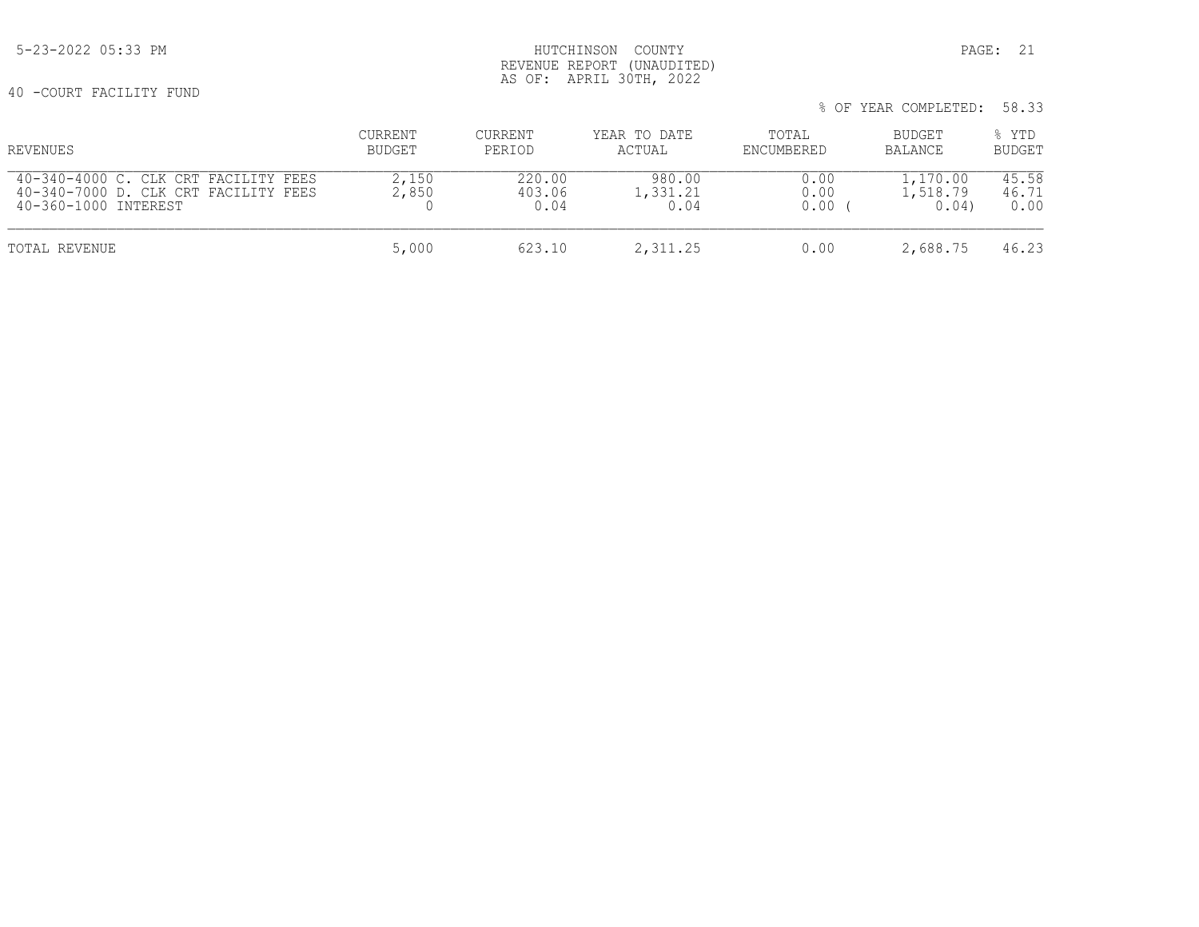40 -COURT FACILITY FUND

|                                                                                                      |                   |                          |                            |                      | % OF YEAR COMPLETED:         | 58.33                  |
|------------------------------------------------------------------------------------------------------|-------------------|--------------------------|----------------------------|----------------------|------------------------------|------------------------|
| REVENUES                                                                                             | CURRENT<br>BUDGET | CURRENT<br>PERIOD        | YEAR TO DATE<br>ACTUAL     | TOTAL<br>ENCUMBERED  | BUDGET<br>BALANCE            | % YTD<br><b>BUDGET</b> |
| 40-340-4000 C. CLK CRT FACILITY FEES<br>40-340-7000 D. CLK CRT FACILITY FEES<br>40-360-1000 INTEREST | 2,150<br>2,850    | 220.00<br>403.06<br>0.04 | 980.00<br>1,331.21<br>0.04 | 0.00<br>0.00<br>0.00 | 1,170.00<br>1,518.79<br>0.04 | 45.58<br>46.71<br>0.00 |
| TOTAL REVENUE                                                                                        | 5,000             | 623.10                   | 2,311.25                   | 0.00                 | 2,688.75                     | 46.23                  |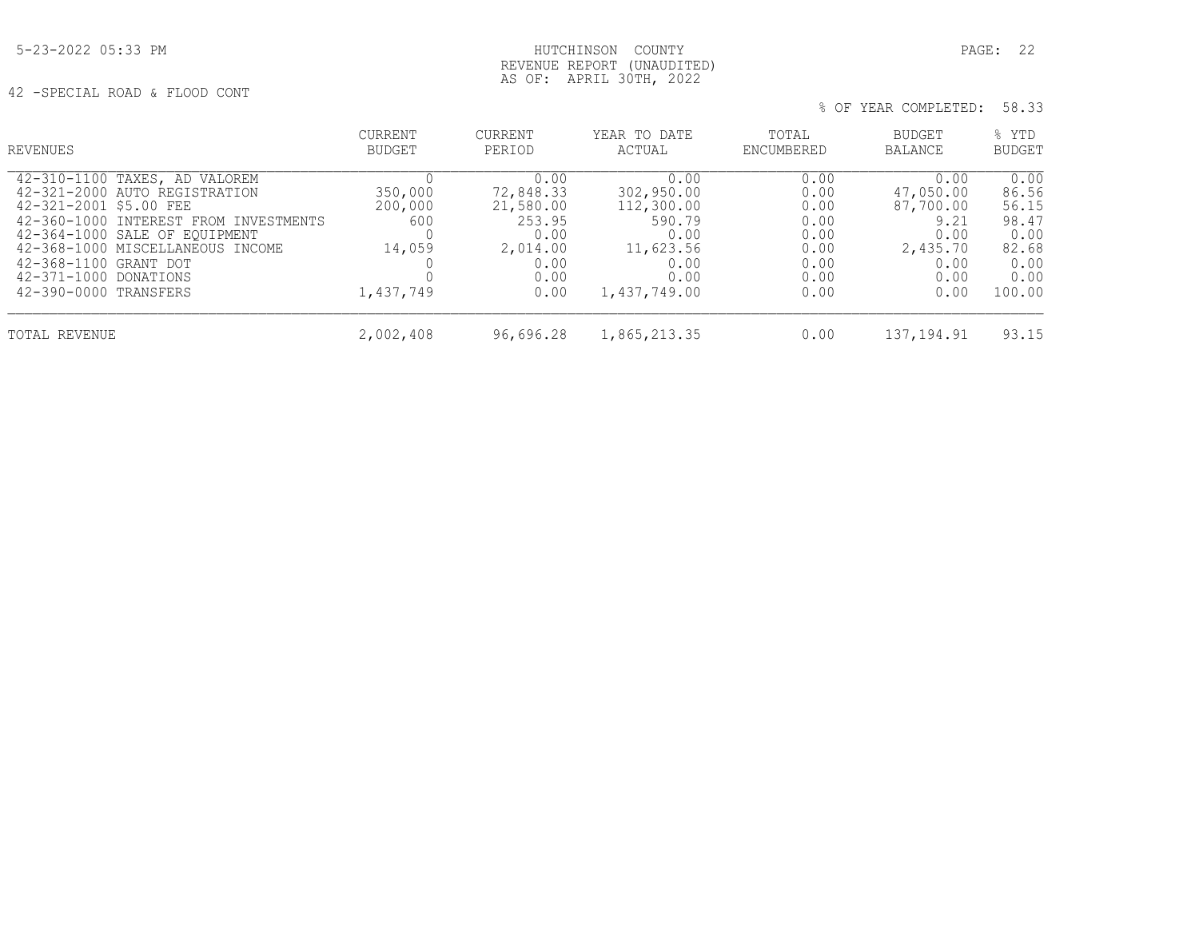## 5-23-2022 05:33 PM HUTCHINSON COUNTY PAGE: 22 REVENUE REPORT (UNAUDITED) AS OF: APRIL 30TH, 2022

42 -SPECIAL ROAD & FLOOD CONT

| REVENUES                                                                                                                                                                                                                                                                          | CURRENT<br><b>BUDGET</b>                         | <b>CURRENT</b><br>PERIOD                                                             | YEAR TO DATE<br>ACTUAL                                                                          | TOTAL<br>ENCUMBERED                                                  | BUDGET<br>BALANCE                                                                  | % YTD<br><b>BUDGET</b>                                                     |
|-----------------------------------------------------------------------------------------------------------------------------------------------------------------------------------------------------------------------------------------------------------------------------------|--------------------------------------------------|--------------------------------------------------------------------------------------|-------------------------------------------------------------------------------------------------|----------------------------------------------------------------------|------------------------------------------------------------------------------------|----------------------------------------------------------------------------|
| 42-310-1100 TAXES, AD VALOREM<br>42-321-2000 AUTO REGISTRATION<br>42-321-2001 \$5.00 FEE<br>42-360-1000 INTEREST FROM INVESTMENTS<br>42-364-1000 SALE OF EQUIPMENT<br>42-368-1000 MISCELLANEOUS INCOME<br>42-368-1100 GRANT DOT<br>42-371-1000 DONATIONS<br>42-390-0000 TRANSFERS | 350,000<br>200,000<br>600<br>14,059<br>1,437,749 | 0.00<br>72,848.33<br>21,580.00<br>253.95<br>0.00<br>2,014.00<br>0.00<br>0.00<br>0.00 | 0.00<br>302,950.00<br>112,300.00<br>590.79<br>0.00<br>11,623.56<br>0.00<br>0.00<br>1,437,749.00 | 0.00<br>0.00<br>0.00<br>0.00<br>0.00<br>0.00<br>0.00<br>0.00<br>0.00 | 0.00<br>47,050.00<br>87,700.00<br>9.21<br>0.00<br>2,435.70<br>0.00<br>0.00<br>0.00 | 0.00<br>86.56<br>56.15<br>98.47<br>0.00<br>82.68<br>0.00<br>0.00<br>100.00 |
| TOTAL REVENUE                                                                                                                                                                                                                                                                     | 2,002,408                                        | 96,696.28                                                                            | 1,865,213.35                                                                                    | 0.00                                                                 | 137, 194.91                                                                        | 93.15                                                                      |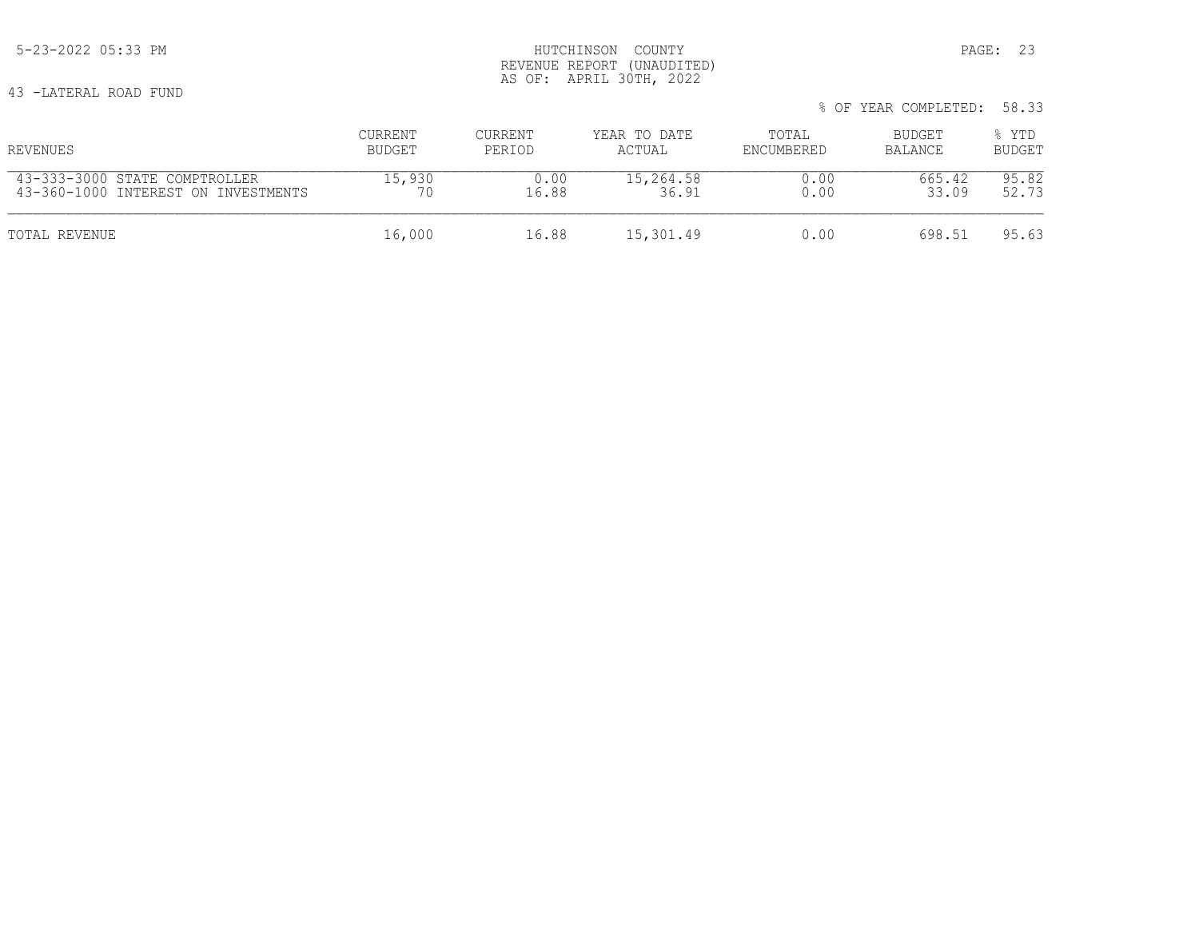43 -LATERAL ROAD FUND

|                                     |         |                |              |            | % OF YEAR COMPLETED: | 58.33         |  |
|-------------------------------------|---------|----------------|--------------|------------|----------------------|---------------|--|
| REVENUES                            | CURRENT | <b>CURRENT</b> | YEAR TO DATE | TOTAL      | BUDGET               | % YTD         |  |
|                                     | BUDGET  | PERIOD         | ACTUAL       | ENCUMBERED | BALANCE              | <b>BUDGET</b> |  |
| 43-333-3000 STATE COMPTROLLER       | 15,930  | 0.00           | 15,264.58    | 0.00       | 665.42               | 95.82         |  |
| 43-360-1000 INTEREST ON INVESTMENTS | 70      | 16.88          | 36.91        | 0.00       | 33.09                | 52.73         |  |
| TOTAL REVENUE                       | 16,000  | 16.88          | 15,301.49    | 0.00       | 698.51               | 95.63         |  |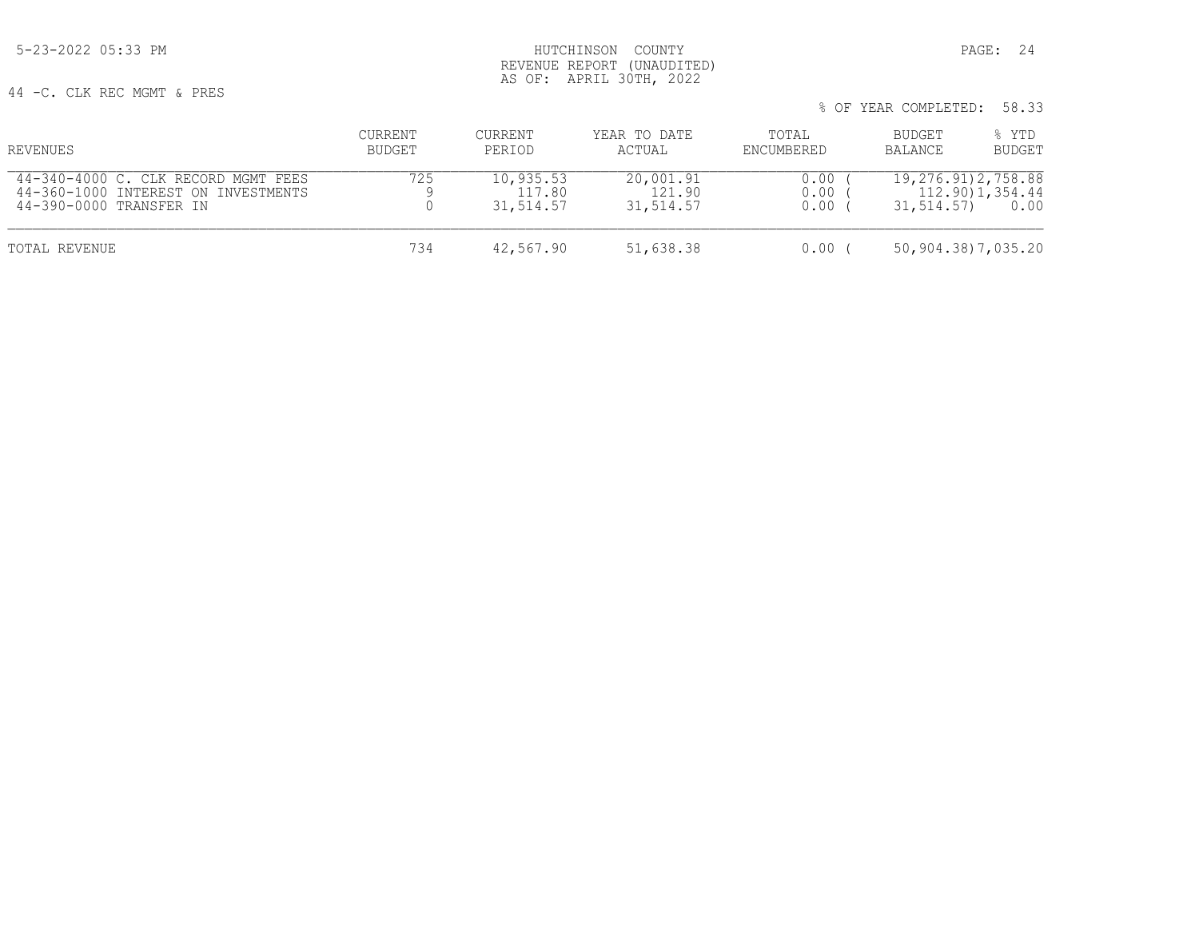## 5-23-2022 05:33 PM HUTCHINSON COUNTY PAGE: 24 REVENUE REPORT (UNAUDITED) AS OF: APRIL 30TH, 2022

44 -C. CLK REC MGMT & PRES

| % OF YEAR COMPLETED: 58.33 |  |
|----------------------------|--|
|----------------------------|--|

| REVENUES                                                                                              | CURRENT<br><b>BUDGET</b> | CURRENT<br>PERIOD                | YEAR TO DATE<br>ACTUAL           | TOTAL<br>ENCUMBERED  | BUDGET<br>BALANCE                     | % YTD<br><b>BUDGET</b>   |
|-------------------------------------------------------------------------------------------------------|--------------------------|----------------------------------|----------------------------------|----------------------|---------------------------------------|--------------------------|
| 44-340-4000 C. CLK RECORD MGMT FEES<br>44-360-1000 INTEREST ON INVESTMENTS<br>44-390-0000 TRANSFER IN | 725                      | 10,935.53<br>117.80<br>31,514.57 | 20,001.91<br>121.90<br>31,514.57 | 0.00<br>0.00<br>0.00 | 19, 276, 91) 2, 758, 88<br>31,514.57) | 112.90) 1,354.44<br>0.00 |
| TOTAL REVENUE                                                                                         | 734                      | 42,567.90                        | 51,638.38                        | 0.00                 | 50,904.38)7,035.20                    |                          |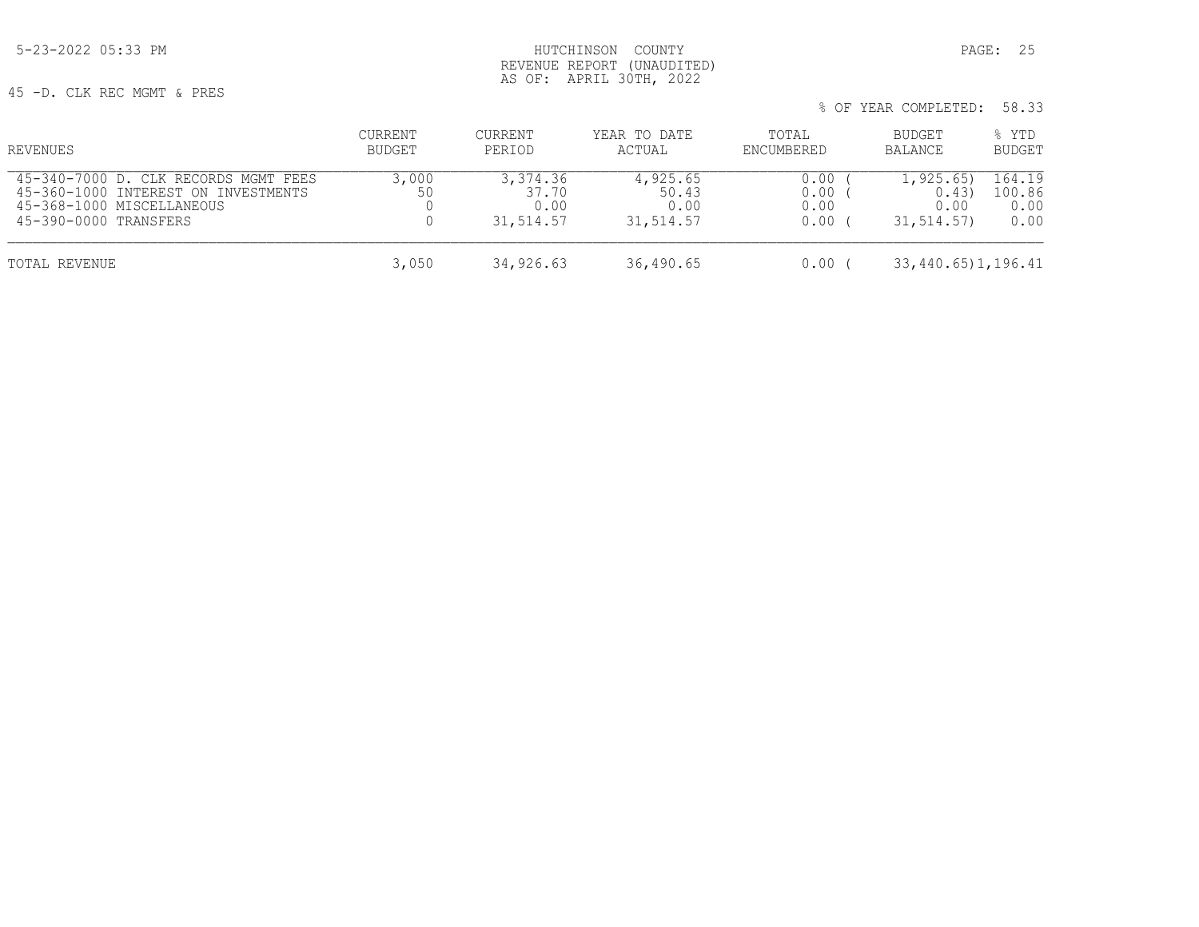45 -D. CLK REC MGMT & PRES

| REVENUES                                                                                                                          | CURRENT<br>BUDGET | CURRENT<br>PERIOD                      | YEAR TO DATE<br>ACTUAL                 | TOTAL<br>ENCUMBERED          | BUDGET<br>BALANCE                          | % YTD<br><b>BUDGET</b>           |
|-----------------------------------------------------------------------------------------------------------------------------------|-------------------|----------------------------------------|----------------------------------------|------------------------------|--------------------------------------------|----------------------------------|
| 45-340-7000 D. CLK RECORDS MGMT FEES<br>45-360-1000 INTEREST ON INVESTMENTS<br>45-368-1000 MISCELLANEOUS<br>45-390-0000 TRANSFERS | 3,000<br>50       | 3,374.36<br>37.70<br>0.00<br>31,514.57 | 4,925.65<br>50.43<br>0.00<br>31,514.57 | 0.00<br>0.00<br>0.00<br>0.00 | 1, 925.65)<br>0.43<br>0.00<br>31, 514, 57) | 164.19<br>100.86<br>0.00<br>0.00 |
| TOTAL REVENUE                                                                                                                     | 3,050             | 34,926.63                              | 36,490.65                              | 0.00                         | 33,440.65)1,196.41                         |                                  |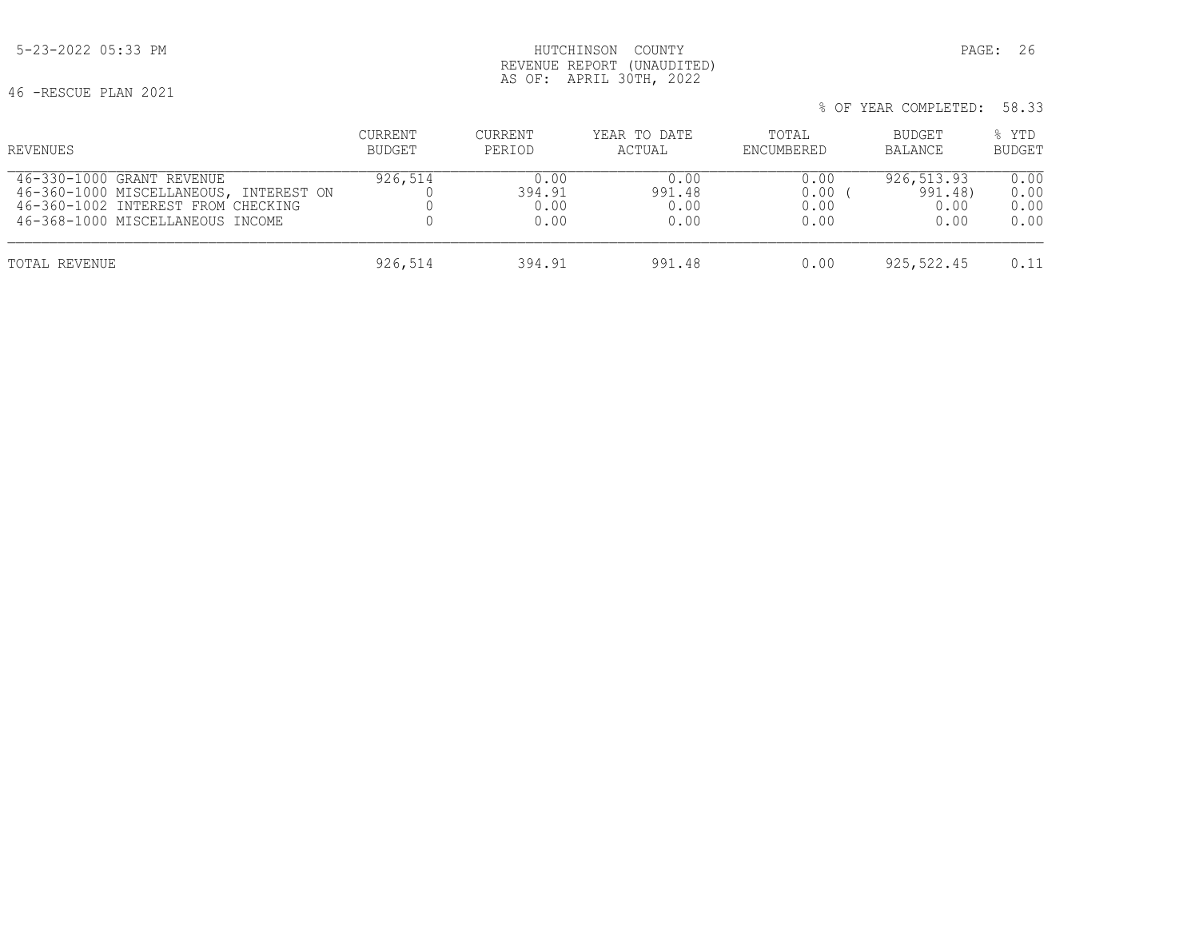% OF YEAR COMPLETED: 58.33

 5-23-2022 05:33 PM HUTCHINSON COUNTY PAGE: 26 REVENUE REPORT (UNAUDITED) AS OF: APRIL 30TH, 2022

46 -RESCUE PLAN 2021

| REVENUES                               | <b>CURRENT</b> | <b>CURRENT</b> | YEAR TO DATE | TOTAL      | BUDGET     | % YTD         |
|----------------------------------------|----------------|----------------|--------------|------------|------------|---------------|
|                                        | BUDGET         | PERIOD         | ACTUAL       | ENCUMBERED | BALANCE    | <b>BUDGET</b> |
| 46-330-1000 GRANT REVENUE              | 926,514        | 0.00           | 0.00         | 0.00       | 926,513.93 | 0.00          |
| 46-360-1000 MISCELLANEOUS, INTEREST ON |                | 394.91         | 991.48       | 0.00       | 991.48)    | 0.00          |
| 46-360-1002 INTEREST FROM CHECKING     |                | 0.00           | 0.00         | 0.00       | 0.00       | 0.00          |
| 46-368-1000 MISCELLANEOUS INCOME       |                | 0.00           | 0.00         | 0.00       | 0.00       | 0.00          |
| TOTAL REVENUE                          | 926,514        | 394.91         | 991.48       | 0.00       | 925,522.45 | 0.11          |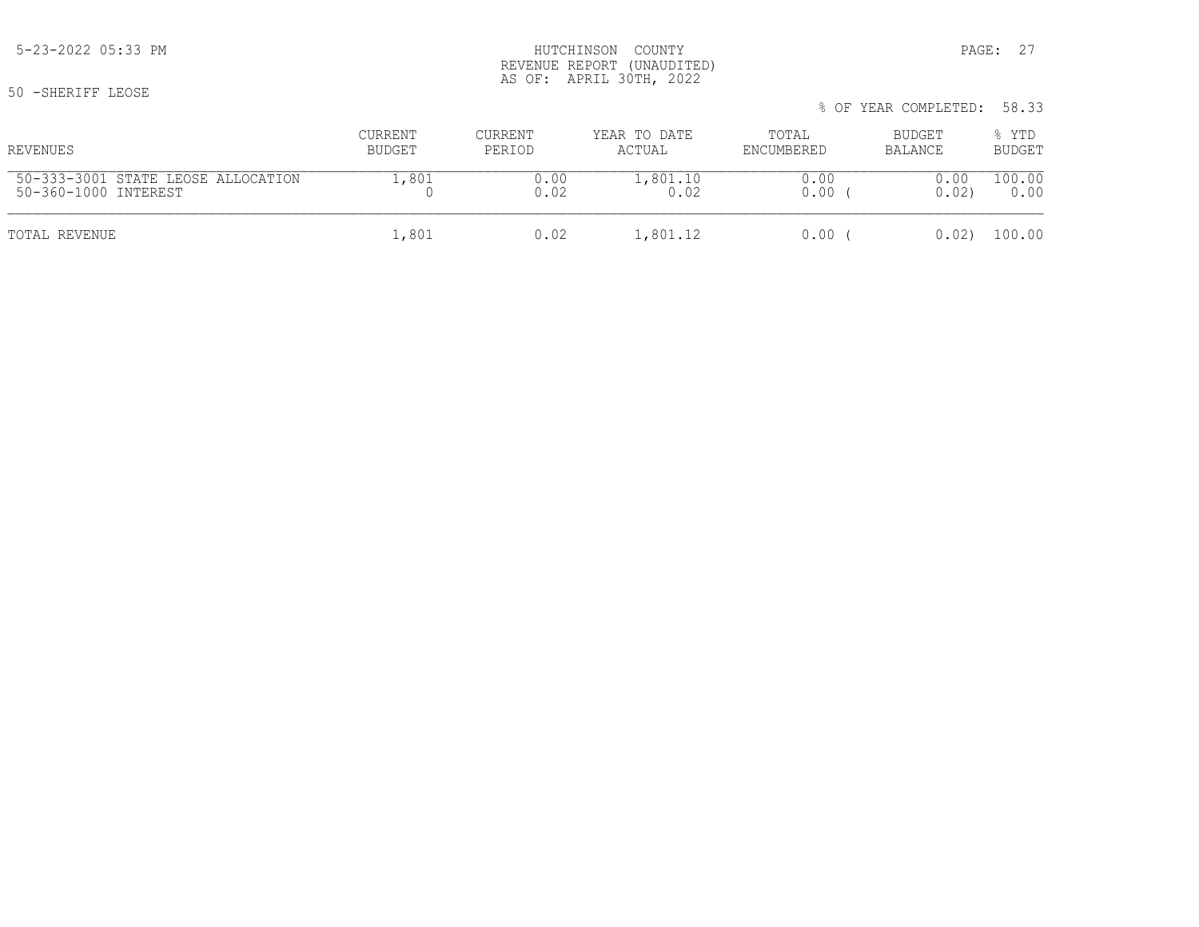50 -SHERIFF LEOSE

## 5-23-2022 05:33 PM HUTCHINSON COUNTY PAGE: 27 REVENUE REPORT (UNAUDITED) AS OF: APRIL 30TH, 2022

| REVENUES                           | CURRENT | CURRENT | YEAR TO DATE | TOTAL      | BUDGET  | % YTD         |
|------------------------------------|---------|---------|--------------|------------|---------|---------------|
|                                    | BUDGET  | PERIOD  | ACTUAL       | ENCUMBERED | BALANCE | <b>BUDGET</b> |
| 50-333-3001 STATE LEOSE ALLOCATION | .,801   | 0.00    | .,801.10     | J.OO       | 0.00    | 100.00        |
| 50-360-1000 INTEREST               |         | 0.02    | 0.02         | 0.00       | 0.02    | 0.00          |
| TOTAL REVENUE                      | 1,801   | 0.02    | 1,801.12     | 0.00       | 0.02)   | 100.00        |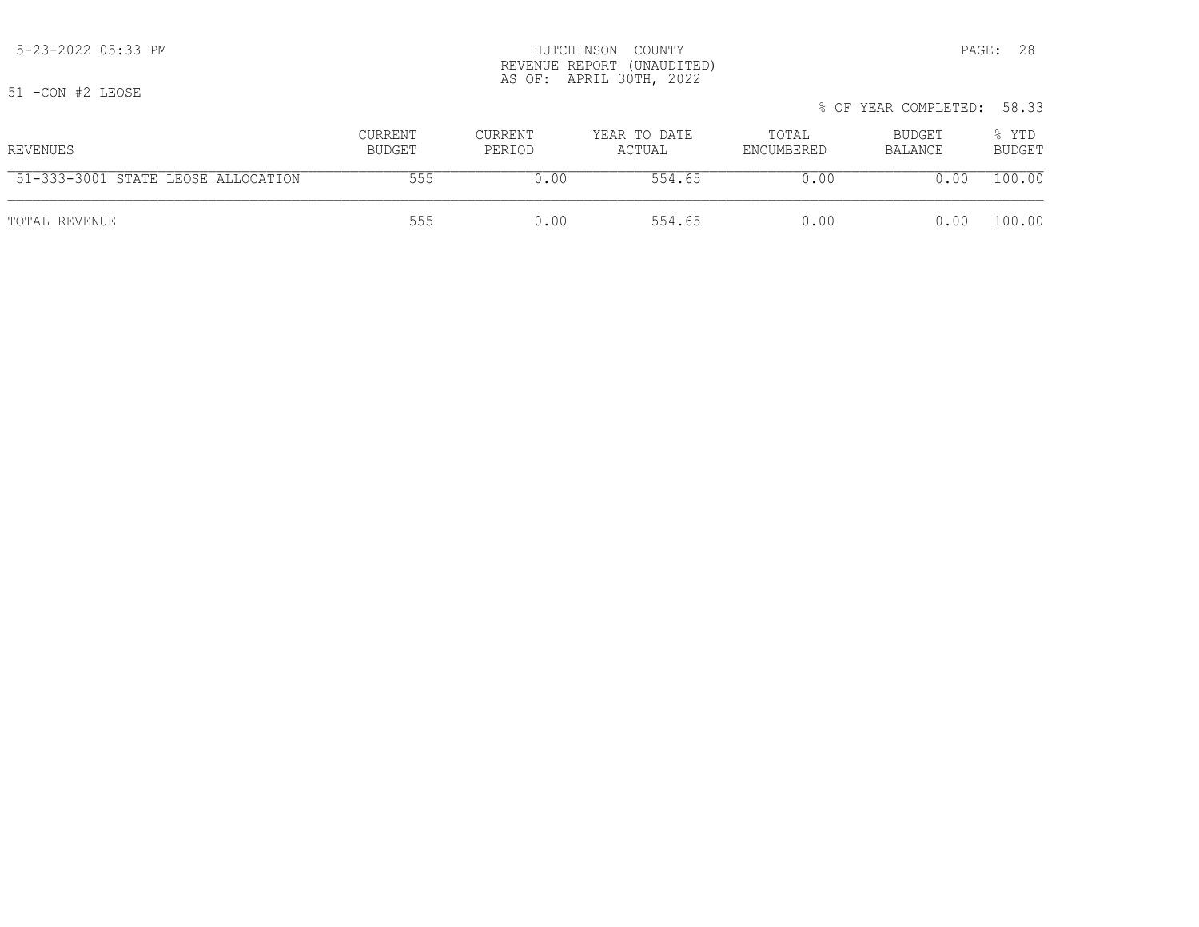% OF YEAR COMPLETED: 58.33 CURRENT CURRENT CURRENT YEAR TO DATE TOTAL BUDGET  $\frac{1}{8}$  YTD<br>BUDGET PERIOD ACTUAL ENCUMBERED BALANCE BUDGET REVENUES BUDGET PERIOD ACTUAL ENCUMBERED BALANCE BUDGET 51-333-3001 STATE LEOSE ALLOCATION 555 0.00 554.65 0.00 0.00 100.00 TOTAL REVENUE 555 0.00 554.65 0.00 0.00 100.00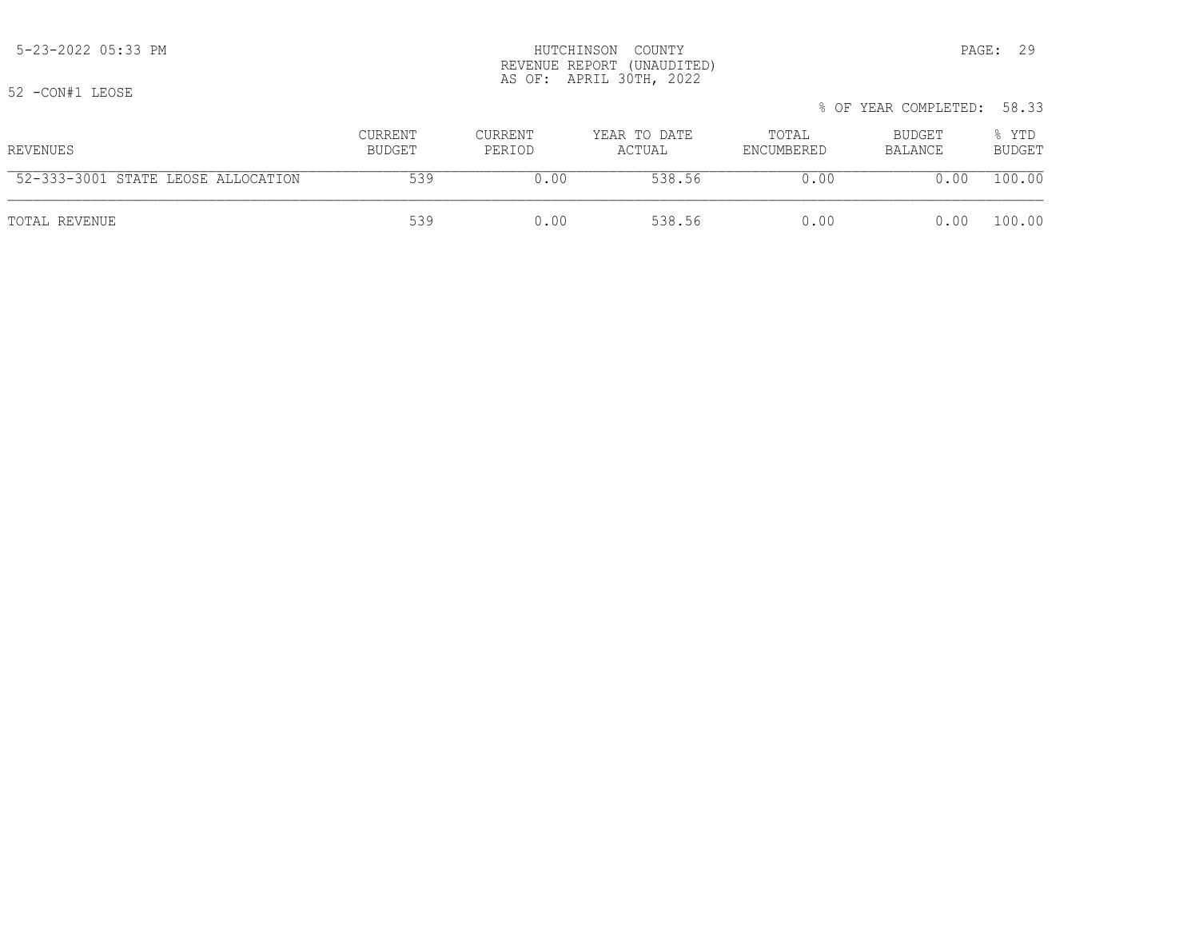#### 5-23-2022 05:33 PM HUTCHINSON COUNTY PAGE: 29 REVENUE REPORT (UNAUDITED) AS OF: APRIL 30TH, 2022

52 -CON#1 LEOSE

| <u>ے ب</u><br>UUIN HILLUULI        |                   |                   |                        |                     | % OF YEAR COMPLETED: 58.33 |                        |
|------------------------------------|-------------------|-------------------|------------------------|---------------------|----------------------------|------------------------|
| REVENUES                           | CURRENT<br>BUDGET | CURRENT<br>PERIOD | YEAR TO DATE<br>ACTUAL | TOTAL<br>ENCUMBERED | BUDGET<br>BALANCE          | % YTD<br><b>BUDGET</b> |
| 52-333-3001 STATE LEOSE ALLOCATION | 539               | 0.00              | 538.56                 | 0.00                | 0.00                       | 100.00                 |
| TOTAL REVENUE                      | 539               | 0.00              | 538.56                 | 0.00                | 0.00                       | 100.00                 |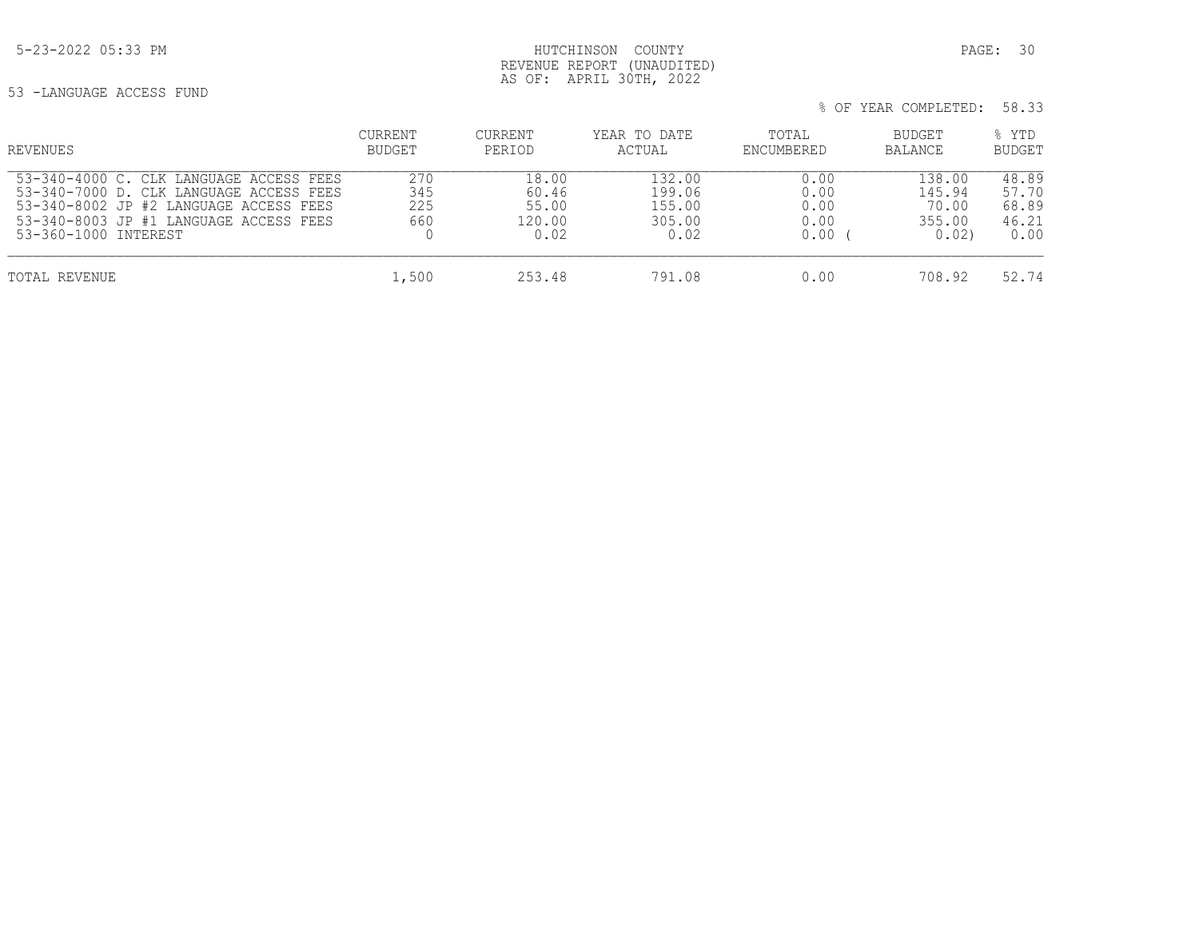53 -LANGUAGE ACCESS FUND

| REVENUES                                                                                                                                                                                       | CURRENT<br>BUDGET        | <b>CURRENT</b><br>PERIOD                  | YEAR TO DATE<br>ACTUAL                       | TOTAL<br>ENCUMBERED                  | BUDGET<br><b>BALANCE</b>                    | % YTD<br><b>BUDGET</b>                   |
|------------------------------------------------------------------------------------------------------------------------------------------------------------------------------------------------|--------------------------|-------------------------------------------|----------------------------------------------|--------------------------------------|---------------------------------------------|------------------------------------------|
| 53-340-4000 C. CLK LANGUAGE ACCESS FEES<br>53-340-7000 D. CLK LANGUAGE ACCESS FEES<br>53-340-8002 JP #2 LANGUAGE ACCESS FEES<br>53-340-8003 JP #1 LANGUAGE ACCESS FEES<br>53-360-1000 INTEREST | 270<br>345<br>225<br>660 | 18.00<br>60.46<br>55.00<br>120.00<br>0.02 | 132.00<br>199.06<br>155.00<br>305.00<br>0.02 | 0.00<br>0.00<br>0.00<br>0.00<br>0.00 | 138.00<br>145.94<br>70.00<br>355.00<br>0.02 | 48.89<br>57.70<br>68.89<br>46.21<br>0.00 |
| TOTAL REVENUE                                                                                                                                                                                  | 1,500                    | 253.48                                    | 791.08                                       | 0.00                                 | 708.92                                      | 52.74                                    |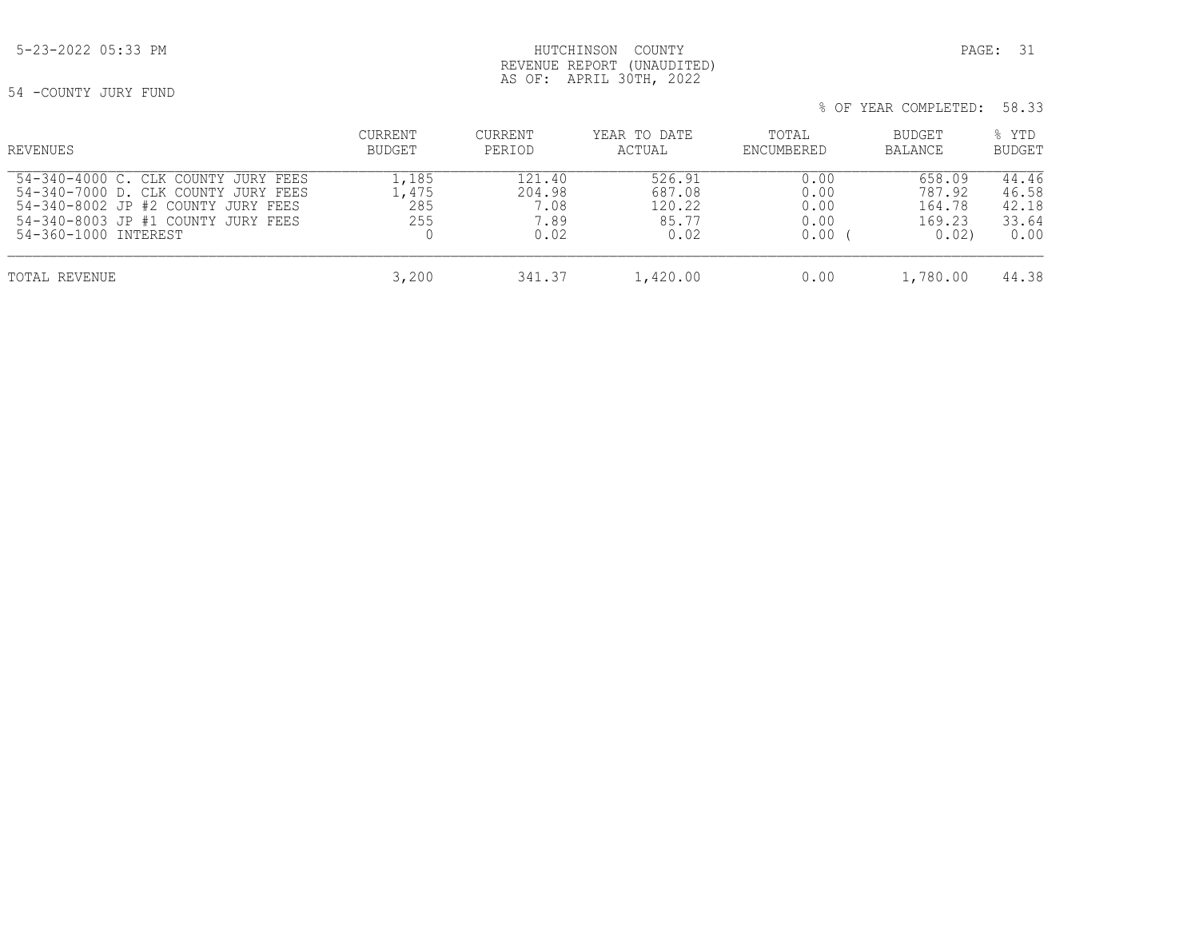## 5-23-2022 05:33 PM HUTCHINSON COUNTY PAGE: 31 REVENUE REPORT (UNAUDITED) AS OF: APRIL 30TH, 2022

54 -COUNTY JURY FUND

| % OF YEAR COMPLETED: 58.33 |  |
|----------------------------|--|
|----------------------------|--|

| REVENUES                                                                                                                                                                       | CURRENT<br><b>BUDGET</b>    | <b>CURRENT</b><br>PERIOD                 | YEAR TO DATE<br>ACTUAL                      | TOTAL<br>ENCUMBERED                  | <b>BUDGET</b><br><b>BALANCE</b>              | % YTD<br><b>BUDGET</b>                   |
|--------------------------------------------------------------------------------------------------------------------------------------------------------------------------------|-----------------------------|------------------------------------------|---------------------------------------------|--------------------------------------|----------------------------------------------|------------------------------------------|
| 54-340-4000 C. CLK COUNTY JURY FEES<br>54-340-7000 D. CLK COUNTY JURY FEES<br>54-340-8002 JP #2 COUNTY JURY FEES<br>54-340-8003 JP #1 COUNTY JURY FEES<br>54-360-1000 INTEREST | 1,85<br>.,475<br>285<br>255 | 121.40<br>204.98<br>7.08<br>7.89<br>0.02 | 526.91<br>687.08<br>120.22<br>85.77<br>0.02 | 0.00<br>0.00<br>0.00<br>0.00<br>0.00 | 658.09<br>787.92<br>164.78<br>169.23<br>0.02 | 44.46<br>46.58<br>42.18<br>33.64<br>0.00 |
| TOTAL REVENUE                                                                                                                                                                  | 3,200                       | 341.37                                   | 1,420.00                                    | 0.00                                 | 1,780.00                                     | 44.38                                    |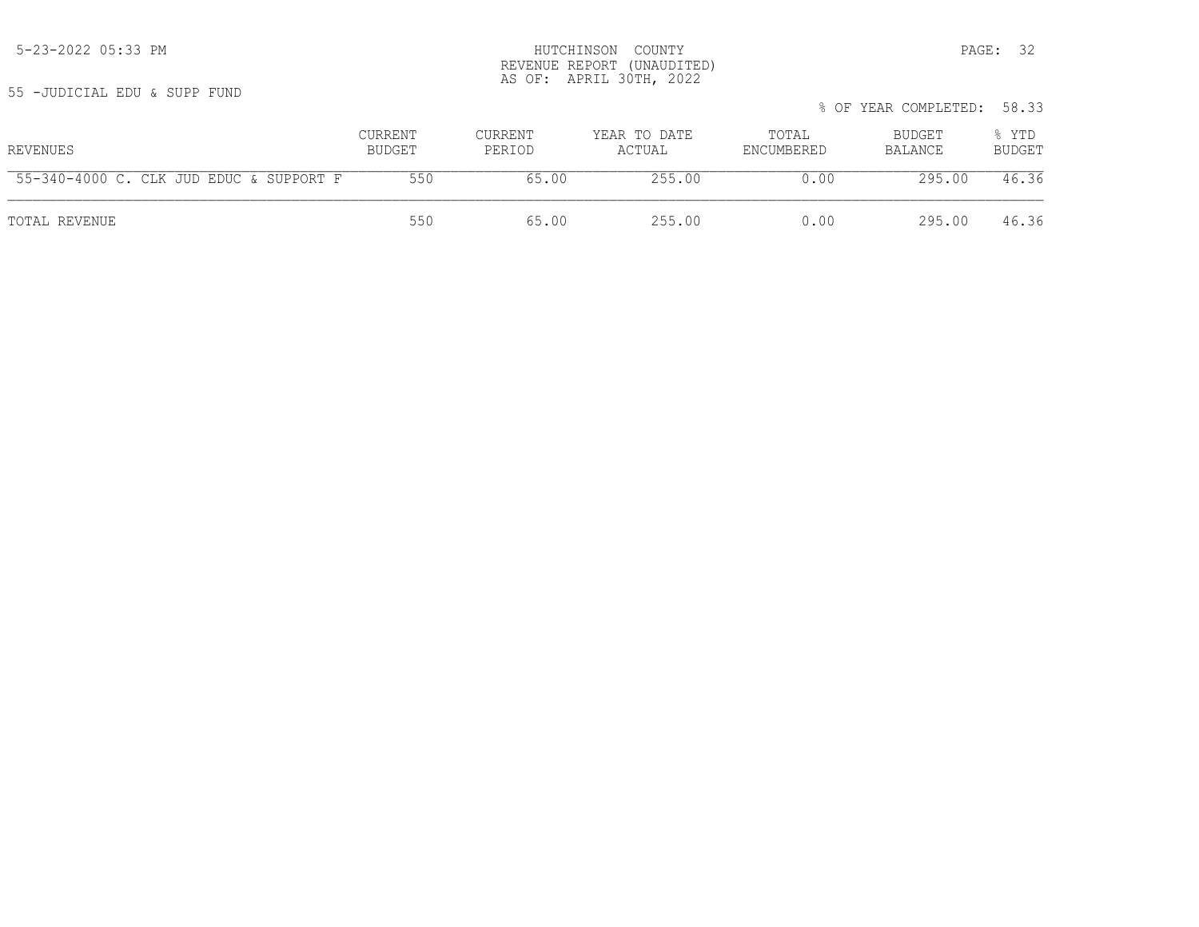|                                         |                   |                          |                        | % OF YEAR COMPLETED: 58.33 |                   |                        |  |
|-----------------------------------------|-------------------|--------------------------|------------------------|----------------------------|-------------------|------------------------|--|
| REVENUES                                | CURRENT<br>BUDGET | <b>CURRENT</b><br>PERIOD | YEAR TO DATE<br>ACTUAL | TOTAL<br>ENCUMBERED        | BUDGET<br>BALANCE | % YTD<br><b>BUDGET</b> |  |
| 55-340-4000 C. CLK JUD EDUC & SUPPORT F | 550               | 65.00                    | 255.00                 | 0.00                       | 295.00            | 46.36                  |  |
| TOTAL REVENUE                           | 550               | 65.00                    | 255.00                 | 0.00                       | 295.00            | 46.36                  |  |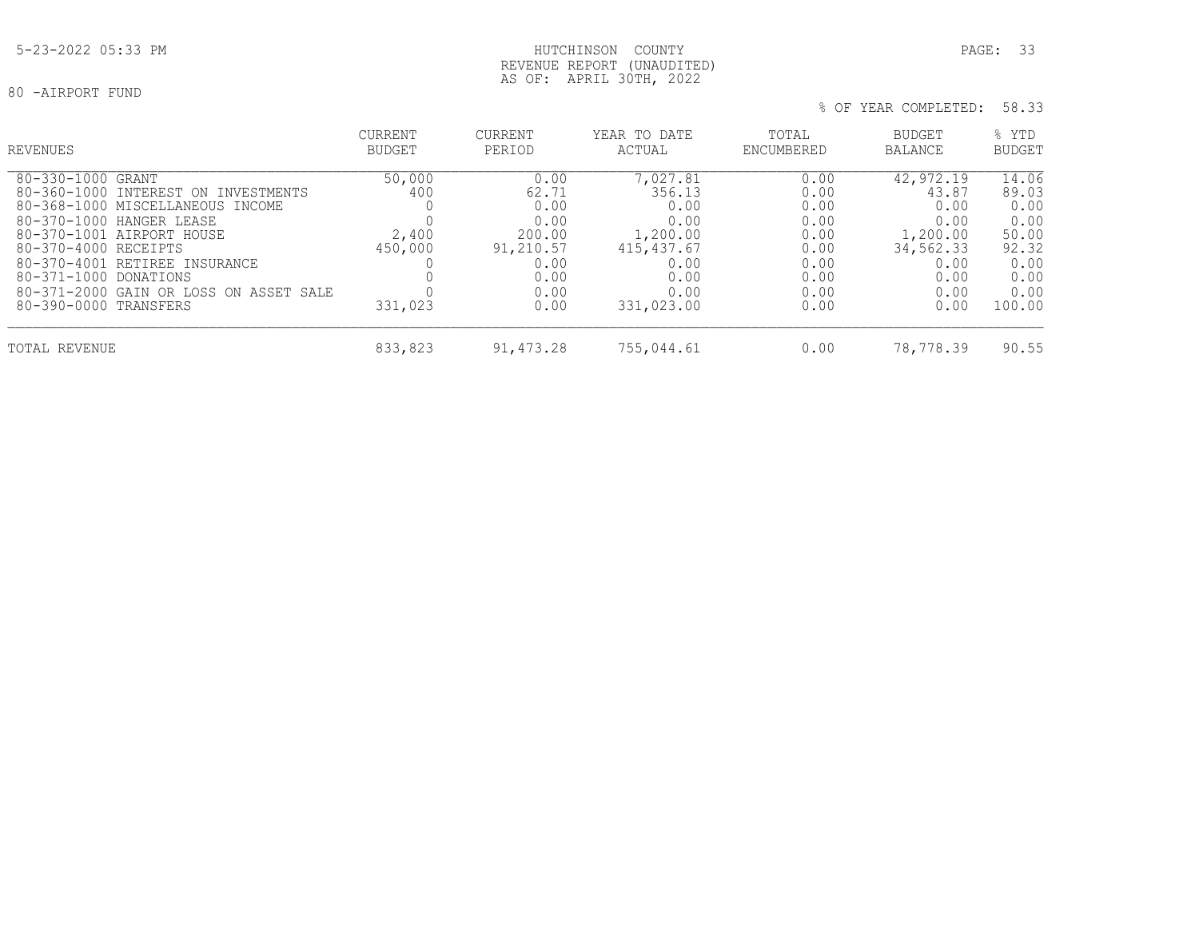## 5-23-2022 05:33 PM HUTCHINSON COUNTY PAGE: 33 REVENUE REPORT (UNAUDITED) AS OF: APRIL 30TH, 2022

| REVENUES                                                                                                                                                                                                                                | <b>CURRENT</b><br><b>BUDGET</b>   | <b>CURRENT</b><br>PERIOD                                             | YEAR TO DATE<br>ACTUAL                                                       | TOTAL<br>ENCUMBERED                                          | BUDGET<br><b>BALANCE</b>                                                    | % YTD<br><b>BUDGET</b>                                           |
|-----------------------------------------------------------------------------------------------------------------------------------------------------------------------------------------------------------------------------------------|-----------------------------------|----------------------------------------------------------------------|------------------------------------------------------------------------------|--------------------------------------------------------------|-----------------------------------------------------------------------------|------------------------------------------------------------------|
| 80-330-1000 GRANT<br>80-360-1000 INTEREST ON INVESTMENTS<br>80-368-1000 MISCELLANEOUS INCOME<br>80-370-1000 HANGER LEASE<br>80-370-1001 AIRPORT HOUSE<br>80-370-4000 RECEIPTS<br>80-370-4001 RETIREE INSURANCE<br>80-371-1000 DONATIONS | 50,000<br>400<br>2,400<br>450,000 | 0.00<br>62.71<br>0.00<br>0.00<br>200.00<br>91,210.57<br>0.00<br>0.00 | 7,027.81<br>356.13<br>0.00<br>0.00<br>1,200.00<br>415,437.67<br>0.00<br>0.00 | 0.00<br>0.00<br>0.00<br>0.00<br>0.00<br>0.00<br>0.00<br>0.00 | 42,972.19<br>43.87<br>0.00<br>0.00<br>1,200.00<br>34,562.33<br>0.00<br>0.00 | 14.06<br>89.03<br>0.00<br>0.00<br>50.00<br>92.32<br>0.00<br>0.00 |
| 80-371-2000 GAIN OR LOSS ON ASSET SALE<br>80-390-0000 TRANSFERS<br>TOTAL REVENUE                                                                                                                                                        | 331,023<br>833,823                | 0.00<br>0.00<br>91,473.28                                            | 0.00<br>331,023.00<br>755,044.61                                             | 0.00<br>0.00<br>0.00                                         | 0.00<br>0.00<br>78,778.39                                                   | 0.00<br>100.00<br>90.55                                          |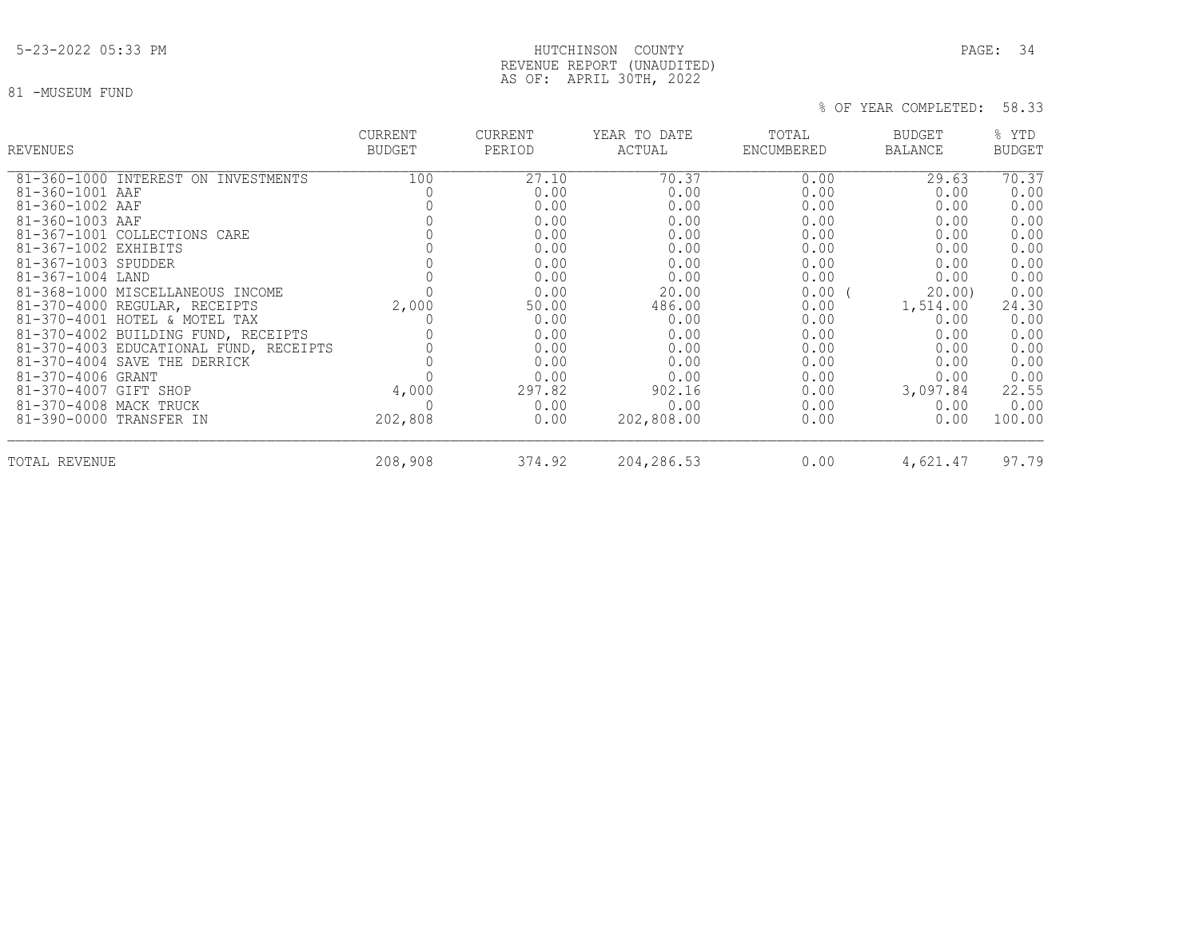## 5-23-2022 05:33 PM HUTCHINSON COUNTY PAGE: 34 REVENUE REPORT (UNAUDITED) AS OF: APRIL 30TH, 2022

81 -MUSEUM FUND

| <b>REVENUES</b>                        | <b>CURRENT</b><br><b>BUDGET</b> | CURRENT<br>PERIOD | YEAR TO DATE<br>ACTUAL | TOTAL<br>ENCUMBERED | <b>BUDGET</b><br><b>BALANCE</b> | % YTD<br><b>BUDGET</b> |
|----------------------------------------|---------------------------------|-------------------|------------------------|---------------------|---------------------------------|------------------------|
| 81-360-1000 INTEREST ON INVESTMENTS    | 100                             | 27.10             | 70.37                  | 0.00                | 29.63                           | 70.37                  |
| 81-360-1001 AAF                        |                                 | 0.00              | 0.00                   | 0.00                | 0.00                            | 0.00                   |
| 81-360-1002 AAF                        |                                 | 0.00              | 0.00                   | 0.00                | 0.00                            | 0.00                   |
| 81-360-1003 AAF                        |                                 | 0.00              | 0.00                   | 0.00                | 0.00                            | 0.00                   |
| 81-367-1001 COLLECTIONS CARE           |                                 | 0.00              | 0.00                   | 0.00                | 0.00                            | 0.00                   |
| 81-367-1002 EXHIBITS                   |                                 | 0.00              | 0.00                   | 0.00                | 0.00                            | 0.00                   |
| 81-367-1003 SPUDDER                    |                                 | 0.00              | 0.00                   | 0.00                | 0.00                            | 0.00                   |
| 81-367-1004 LAND                       |                                 | 0.00              | 0.00                   | 0.00                | 0.00                            | 0.00                   |
| 81-368-1000 MISCELLANEOUS INCOME       |                                 | 0.00              | 20.00                  | $0.00$ (            | 20.00                           | 0.00                   |
| 81-370-4000 REGULAR, RECEIPTS          | 2,000                           | 50.00             | 486.00                 | 0.00                | 1,514.00                        | 24.30                  |
| 81-370-4001 HOTEL & MOTEL TAX          |                                 | 0.00              | 0.00                   | 0.00                | 0.00                            | 0.00                   |
| 81-370-4002 BUILDING FUND, RECEIPTS    |                                 | 0.00              | 0.00                   | 0.00                | 0.00                            | 0.00                   |
| 81-370-4003 EDUCATIONAL FUND, RECEIPTS |                                 | 0.00              | 0.00                   | 0.00                | 0.00                            | 0.00                   |
| 81-370-4004 SAVE THE DERRICK           |                                 | 0.00              | 0.00                   | 0.00                | 0.00                            | 0.00                   |
| 81-370-4006 GRANT                      |                                 | 0.00              | 0.00                   | 0.00                | 0.00                            | 0.00                   |
| 81-370-4007 GIFT SHOP                  | 4,000                           | 297.82            | 902.16                 | 0.00                | 3,097.84                        | 22.55                  |
| 81-370-4008 MACK TRUCK                 |                                 | 0.00              | 0.00                   | 0.00                | 0.00                            | 0.00                   |
| 81-390-0000 TRANSFER IN                | 202,808                         | 0.00              | 202,808.00             | 0.00                | 0.00                            | 100.00                 |
| TOTAL REVENUE                          | 208,908                         | 374.92            | 204,286.53             | 0.00                | 4,621.47                        | 97.79                  |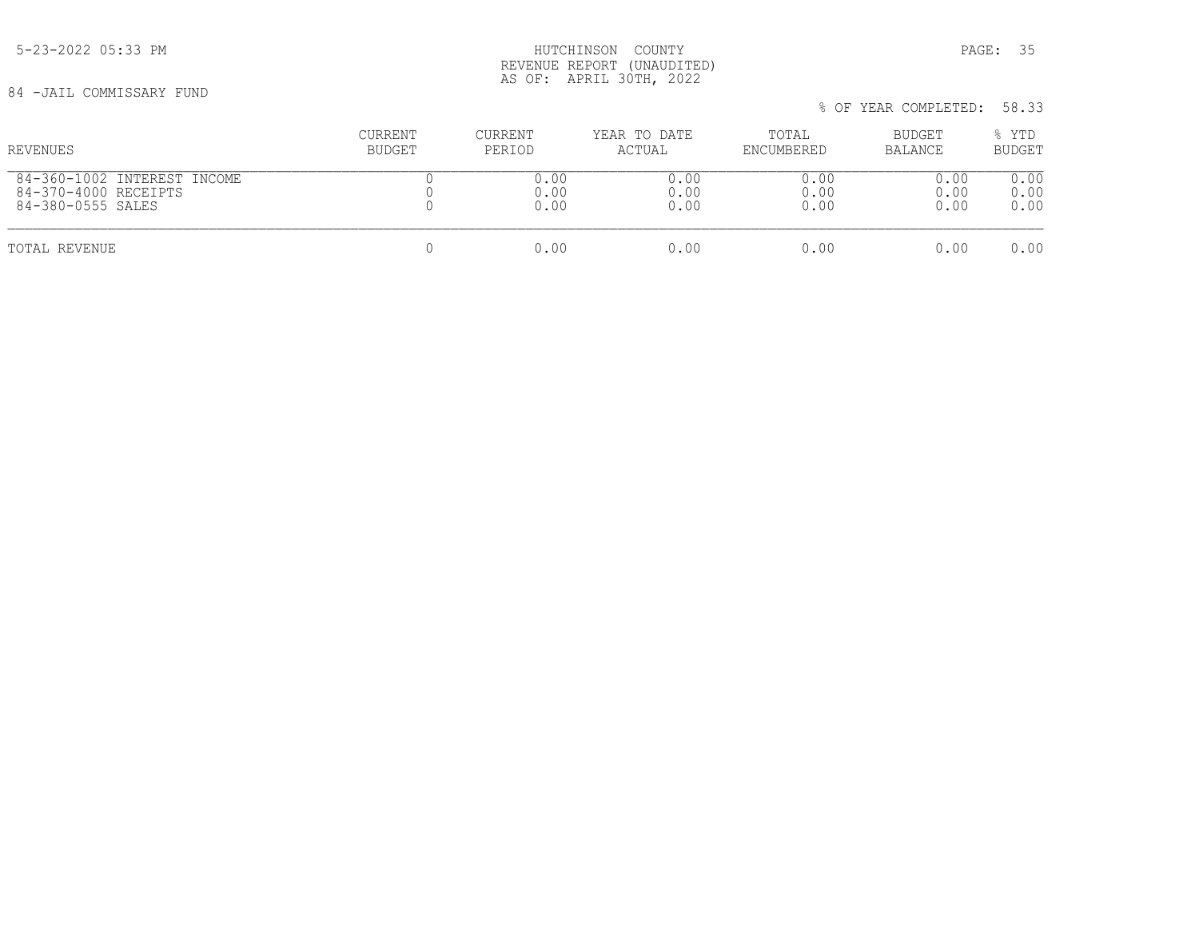5-23-2022 05:33 PM HUTCHINSON COUNTY PAGE: 35 REVENUE REPORT (UNAUDITED) AS OF: APRIL 30TH, 2022

84 -JAIL COMMISSARY FUND

 % OF YEAR COMPLETED: 58.33 CURRENT CURRENT YEAR TO DATE TOTAL BUDGET % YTD REVENUES BUDGET PERIOD ACTUAL ENCUMBERED BALANCE BUDGET  $\begin{array}{cccccccccccccc} 84-360-1002 & \text{INTEREST INCOME} & & & & & 0 & & & 0.00 & & & & 0.00 & & & & 0.00 & & & & 0.00 & & & & 0.00 & & & & & 0.00 & & & & & 0.00 & & & & & 0.00 & & & & & 0.00 & & & & & & 0.00 & & & & & & 0.00 & & & & & & 0.00 & & & & & & 0.00 & & & & & & 0.00 & & & & & & 0.00 & & & & & & 0.00 & & & & & & 0.00 & & & & & & & 0$  84-370-4000 RECEIPTS 0 0.00 0.00 0.00 0.00 0.00 84-380-0555 SALES TOTAL REVENUE 0 0.00 0.00 0.00 0.00 0.00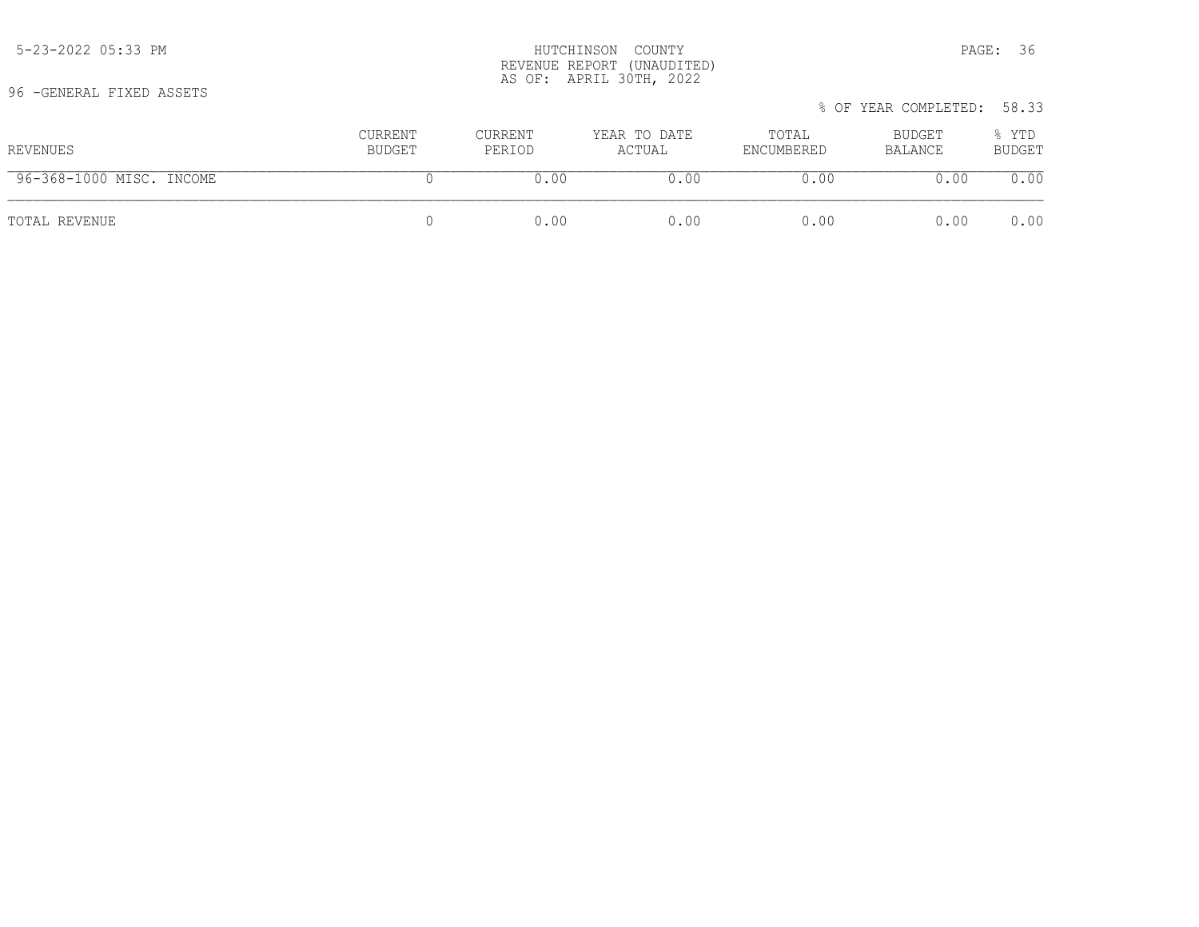| REVENUES                 | CURRENT<br>BUDGET | CURRENT<br>PERIOD | YEAR TO DATE<br>ACTUAL | TOTAL<br>ENCUMBERED | BUDGET<br>BALANCE | % YTD<br><b>BUDGET</b> |
|--------------------------|-------------------|-------------------|------------------------|---------------------|-------------------|------------------------|
| 96-368-1000 MISC. INCOME |                   | 0.00              | 0.00                   | 0.00                | 0.00              | 0.00                   |
| TOTAL REVENUE            |                   | 0.00              | 0.00                   | 0.00                | 0.00              | 0.00                   |